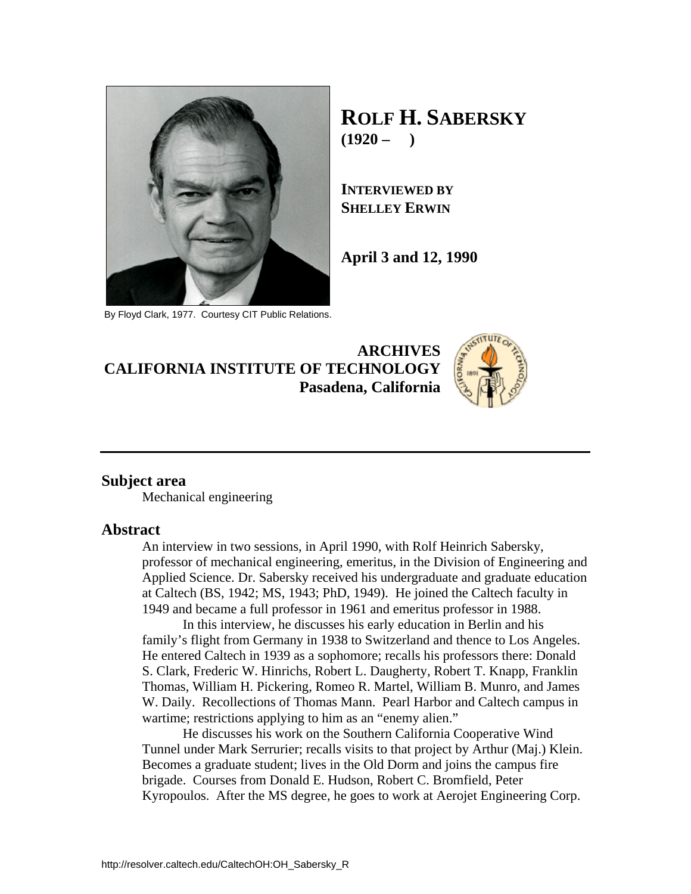

By Floyd Clark, 1977. Courtesy CIT Public Relations.

**ROLF H. SABERSKY**  $(1920 - )$ 

**INTERVIEWED BY SHELLEY ERWIN**

**April 3 and 12, 1990** 

## **ARCHIVES CALIFORNIA INSTITUTE OF TECHNOLOGY Pasadena, California**



### **Subject area**

Mechanical engineering

### **Abstract**

An interview in two sessions, in April 1990, with Rolf Heinrich Sabersky, professor of mechanical engineering, emeritus, in the Division of Engineering and Applied Science. Dr. Sabersky received his undergraduate and graduate education at Caltech (BS, 1942; MS, 1943; PhD, 1949). He joined the Caltech faculty in 1949 and became a full professor in 1961 and emeritus professor in 1988.

 In this interview, he discusses his early education in Berlin and his family's flight from Germany in 1938 to Switzerland and thence to Los Angeles. He entered Caltech in 1939 as a sophomore; recalls his professors there: Donald S. Clark, Frederic W. Hinrichs, Robert L. Daugherty, Robert T. Knapp, Franklin Thomas, William H. Pickering, Romeo R. Martel, William B. Munro, and James W. Daily. Recollections of Thomas Mann. Pearl Harbor and Caltech campus in wartime; restrictions applying to him as an "enemy alien."

 He discusses his work on the Southern California Cooperative Wind Tunnel under Mark Serrurier; recalls visits to that project by Arthur (Maj.) Klein. Becomes a graduate student; lives in the Old Dorm and joins the campus fire brigade. Courses from Donald E. Hudson, Robert C. Bromfield, Peter Kyropoulos. After the MS degree, he goes to work at Aerojet Engineering Corp.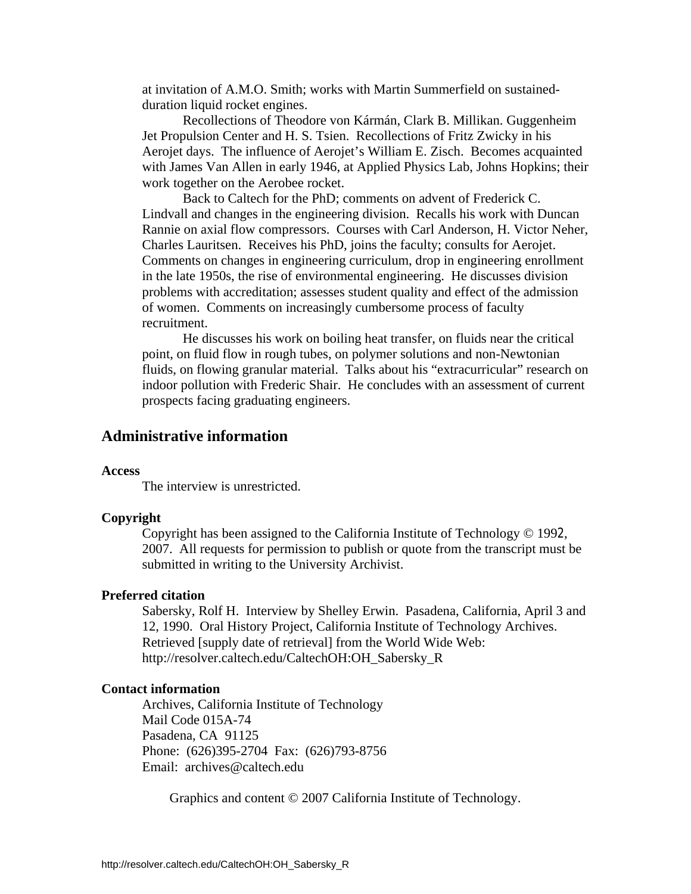at invitation of A.M.O. Smith; works with Martin Summerfield on sustainedduration liquid rocket engines.

 Recollections of Theodore von Kármán, Clark B. Millikan. Guggenheim Jet Propulsion Center and H. S. Tsien. Recollections of Fritz Zwicky in his Aerojet days. The influence of Aerojet's William E. Zisch. Becomes acquainted with James Van Allen in early 1946, at Applied Physics Lab, Johns Hopkins; their work together on the Aerobee rocket.

 Back to Caltech for the PhD; comments on advent of Frederick C. Lindvall and changes in the engineering division. Recalls his work with Duncan Rannie on axial flow compressors. Courses with Carl Anderson, H. Victor Neher, Charles Lauritsen. Receives his PhD, joins the faculty; consults for Aerojet. Comments on changes in engineering curriculum, drop in engineering enrollment in the late 1950s, the rise of environmental engineering. He discusses division problems with accreditation; assesses student quality and effect of the admission of women. Comments on increasingly cumbersome process of faculty recruitment.

 He discusses his work on boiling heat transfer, on fluids near the critical point, on fluid flow in rough tubes, on polymer solutions and non-Newtonian fluids, on flowing granular material. Talks about his "extracurricular" research on indoor pollution with Frederic Shair. He concludes with an assessment of current prospects facing graduating engineers.

## **Administrative information**

### **Access**

The interview is unrestricted.

#### **Copyright**

 Copyright has been assigned to the California Institute of Technology © 1992, 2007. All requests for permission to publish or quote from the transcript must be submitted in writing to the University Archivist.

### **Preferred citation**

 Sabersky, Rolf H. Interview by Shelley Erwin. Pasadena, California, April 3 and 12, 1990. Oral History Project, California Institute of Technology Archives. Retrieved [supply date of retrieval] from the World Wide Web: http://resolver.caltech.edu/CaltechOH:OH\_Sabersky\_R

### **Contact information**

 Archives, California Institute of Technology Mail Code 015A-74 Pasadena, CA 91125 Phone: (626)395-2704 Fax: (626)793-8756 Email: archives@caltech.edu

Graphics and content © 2007 California Institute of Technology.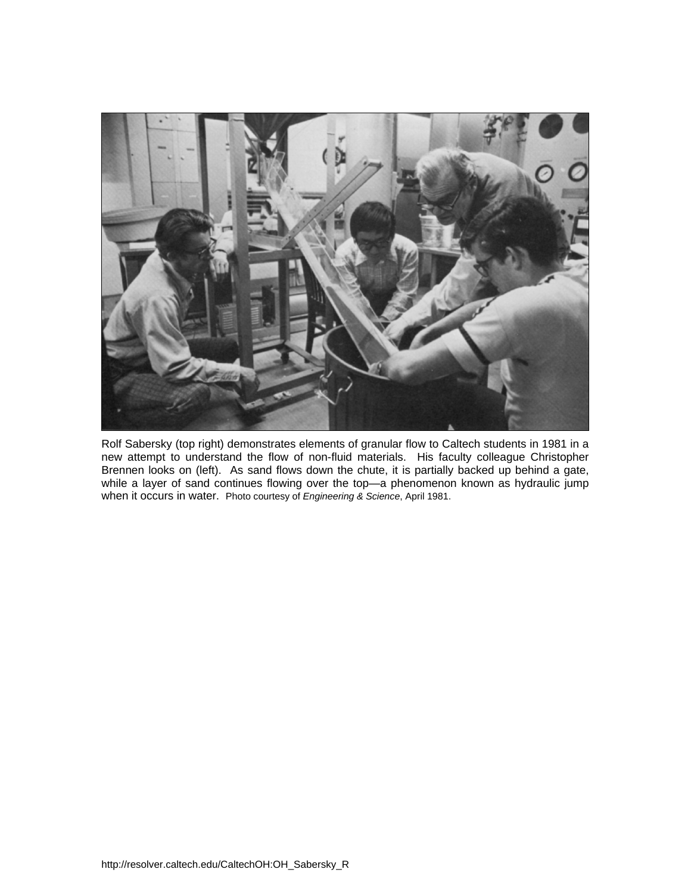

Rolf Sabersky (top right) demonstrates elements of granular flow to Caltech students in 1981 in a new attempt to understand the flow of non-fluid materials. His faculty colleague Christopher Brennen looks on (left). As sand flows down the chute, it is partially backed up behind a gate, while a layer of sand continues flowing over the top—a phenomenon known as hydraulic jump when it occurs in water. Photo courtesy of *Engineering & Science*, April 1981.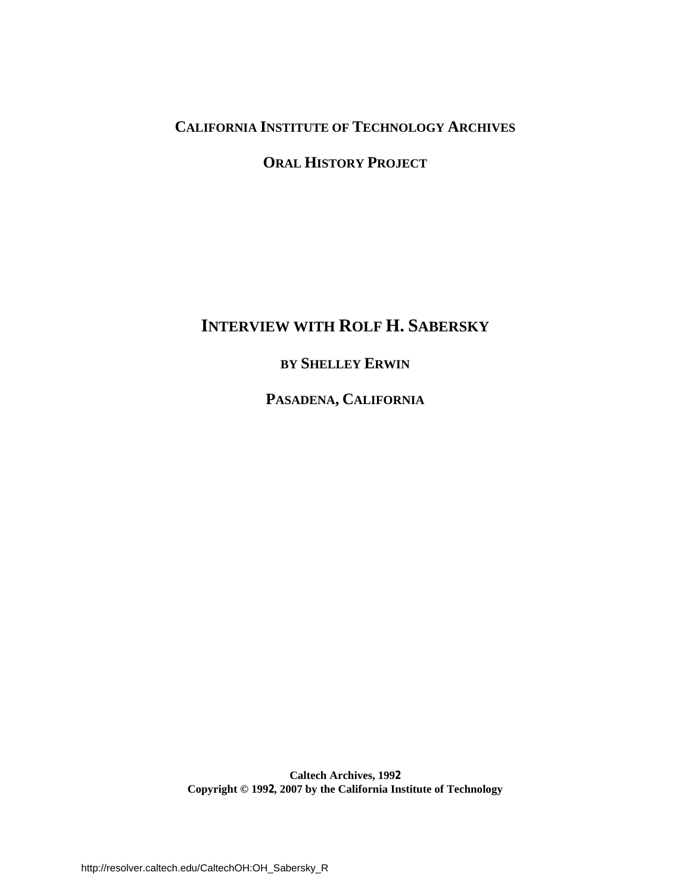# **CALIFORNIA INSTITUTE OF TECHNOLOGY ARCHIVES**

**ORAL HISTORY PROJECT**

# **INTERVIEW WITH ROLF H. SABERSKY**

# **BY SHELLEY ERWIN**

**PASADENA, CALIFORNIA**

**Caltech Archives, 1992 Copyright © 1992, 2007 by the California Institute of Technology**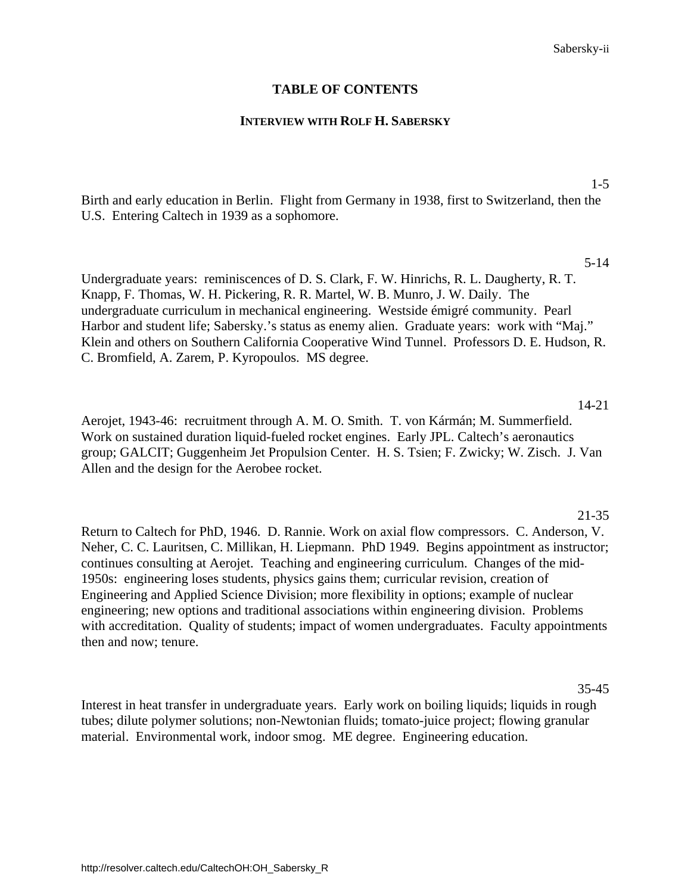### **TABLE OF CONTENTS**

### **INTERVIEW WITH ROLF H. SABERSKY**

1-5

[Birth and early education in Berlin. Flight from Germany in 1938, first to Switzerland, then the](#page-5-0)  U.S. Entering Caltech in 1939 as a sophomore.

5-14

Undergraduate years: reminiscences of D. S. Clark, F. W. Hinrichs, R. L. Daugherty, R. T. Knapp, F. Thomas, W. H. Pickering, R. R. Martel, W. B. Munro, J. W. Daily. The undergraduate curriculum in mechanical engineering. Westside émigré community. Pearl Harbor and student life; Sabersky.'s status as enemy alien. Graduate years: work with "Maj." [Klein and others on Southern California Cooperative Wind Tunnel. Professors D. E. Hudson, R.](#page-9-0)  C. Bromfield, A. Zarem, P. Kyropoulos. MS degree.

14-21 Aerojet, 1943-46: recruitment through A. M. O. Smith. T. von Kármán; M. Summerfield. Work on sustained duration liquid-fueled rocket engines. Early JPL. Caltech's aeronautics [group; GALCIT; Guggenheim Jet Propulsion Center. H. S. Tsien; F. Zwicky; W. Zisch. J. Van](#page-18-0)  Allen and the design for the Aerobee rocket.

### 21-35

Return to Caltech for PhD, 1946. D. Rannie. Work on axial flow compressors. C. Anderson, V. [Neher, C. C. Lauritsen, C. Millikan, H. Liepmann. PhD 1949. Begins appointment as instructor;](#page-25-0)  continues consulting at Aerojet. Teaching and engineering curriculum. Changes of the mid-1950s: engineering loses students, physics gains them; curricular revision, creation of Engineering and Applied Science Division; more flexibility in options; example of nuclear engineering; new options and traditional associations within engineering division. Problems with accreditation. Quality of students; impact of women undergraduates. Faculty appointments then and now; tenure.

35-45

[Interest in heat transfer in undergraduate years. Early work on boiling liquids; liquids in rough](#page-39-0)  tubes; dilute polymer solutions; non-Newtonian fluids; tomato-juice project; flowing granular material. Environmental work, indoor smog. ME degree. Engineering education.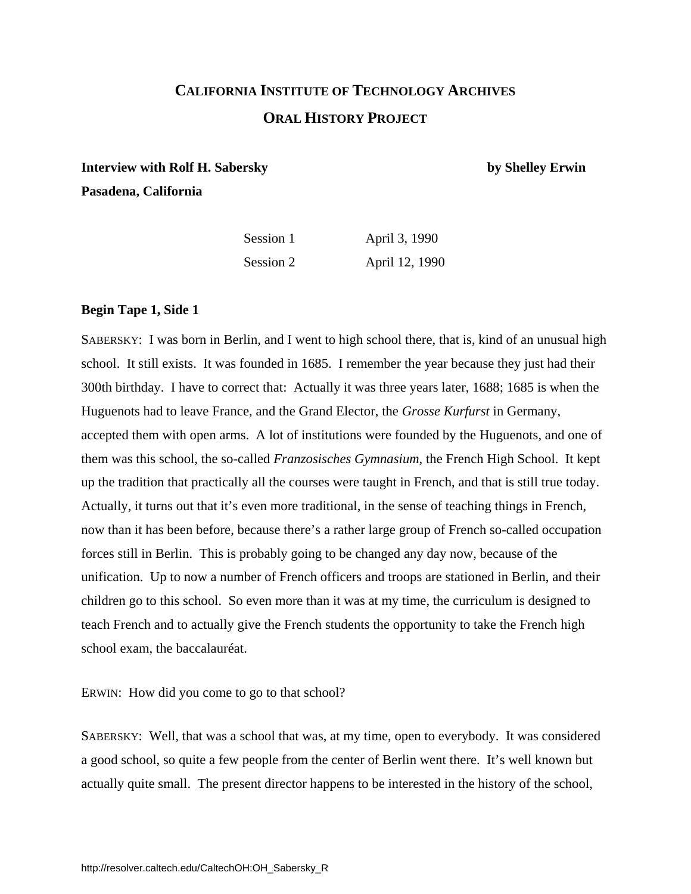# **CALIFORNIA INSTITUTE OF TECHNOLOGY ARCHIVES ORAL HISTORY PROJECT**

## <span id="page-5-0"></span>**Interview with Rolf H. Sabersky by Shelley Erwin Pasadena, California**

| Session 1 | April 3, 1990  |
|-----------|----------------|
| Session 2 | April 12, 1990 |

### **Begin Tape 1, Side 1**

SABERSKY: I was born in Berlin, and I went to high school there, that is, kind of an unusual high school. It still exists. It was founded in 1685. I remember the year because they just had their 300th birthday. I have to correct that: Actually it was three years later, 1688; 1685 is when the Huguenots had to leave France, and the Grand Elector, the *Grosse Kurfurst* in Germany, accepted them with open arms. A lot of institutions were founded by the Huguenots, and one of them was this school, the so-called *Franzosisches Gymnasium*, the French High School. It kept up the tradition that practically all the courses were taught in French, and that is still true today. Actually, it turns out that it's even more traditional, in the sense of teaching things in French, now than it has been before, because there's a rather large group of French so-called occupation forces still in Berlin. This is probably going to be changed any day now, because of the unification. Up to now a number of French officers and troops are stationed in Berlin, and their children go to this school. So even more than it was at my time, the curriculum is designed to teach French and to actually give the French students the opportunity to take the French high school exam, the baccalauréat.

ERWIN: How did you come to go to that school?

SABERSKY: Well, that was a school that was, at my time, open to everybody. It was considered a good school, so quite a few people from the center of Berlin went there. It's well known but actually quite small. The present director happens to be interested in the history of the school,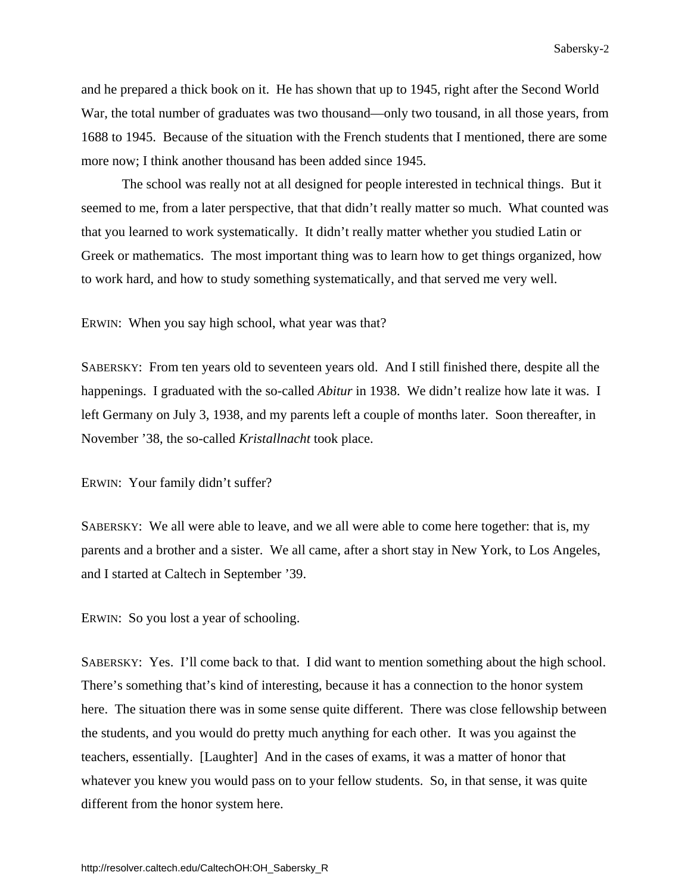and he prepared a thick book on it. He has shown that up to 1945, right after the Second World War, the total number of graduates was two thousand—only two tousand, in all those years, from 1688 to 1945. Because of the situation with the French students that I mentioned, there are some more now; I think another thousand has been added since 1945.

 The school was really not at all designed for people interested in technical things. But it seemed to me, from a later perspective, that that didn't really matter so much. What counted was that you learned to work systematically. It didn't really matter whether you studied Latin or Greek or mathematics. The most important thing was to learn how to get things organized, how to work hard, and how to study something systematically, and that served me very well.

ERWIN: When you say high school, what year was that?

SABERSKY: From ten years old to seventeen years old. And I still finished there, despite all the happenings. I graduated with the so-called *Abitur* in 1938. We didn't realize how late it was. I left Germany on July 3, 1938, and my parents left a couple of months later. Soon thereafter, in November '38, the so-called *Kristallnacht* took place.

ERWIN: Your family didn't suffer?

SABERSKY: We all were able to leave, and we all were able to come here together: that is, my parents and a brother and a sister. We all came, after a short stay in New York, to Los Angeles, and I started at Caltech in September '39.

ERWIN: So you lost a year of schooling.

SABERSKY: Yes. I'll come back to that. I did want to mention something about the high school. There's something that's kind of interesting, because it has a connection to the honor system here. The situation there was in some sense quite different. There was close fellowship between the students, and you would do pretty much anything for each other. It was you against the teachers, essentially. [Laughter] And in the cases of exams, it was a matter of honor that whatever you knew you would pass on to your fellow students. So, in that sense, it was quite different from the honor system here.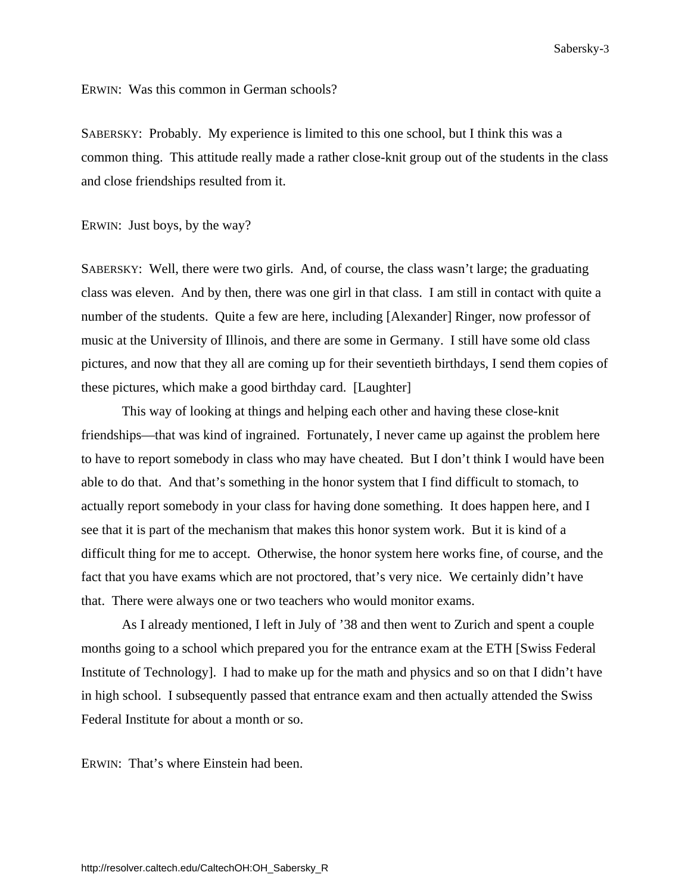ERWIN: Was this common in German schools?

SABERSKY: Probably. My experience is limited to this one school, but I think this was a common thing. This attitude really made a rather close-knit group out of the students in the class and close friendships resulted from it.

ERWIN: Just boys, by the way?

SABERSKY: Well, there were two girls. And, of course, the class wasn't large; the graduating class was eleven. And by then, there was one girl in that class. I am still in contact with quite a number of the students. Quite a few are here, including [Alexander] Ringer, now professor of music at the University of Illinois, and there are some in Germany. I still have some old class pictures, and now that they all are coming up for their seventieth birthdays, I send them copies of these pictures, which make a good birthday card. [Laughter]

 This way of looking at things and helping each other and having these close-knit friendships—that was kind of ingrained. Fortunately, I never came up against the problem here to have to report somebody in class who may have cheated. But I don't think I would have been able to do that. And that's something in the honor system that I find difficult to stomach, to actually report somebody in your class for having done something. It does happen here, and I see that it is part of the mechanism that makes this honor system work. But it is kind of a difficult thing for me to accept. Otherwise, the honor system here works fine, of course, and the fact that you have exams which are not proctored, that's very nice. We certainly didn't have that. There were always one or two teachers who would monitor exams.

 As I already mentioned, I left in July of '38 and then went to Zurich and spent a couple months going to a school which prepared you for the entrance exam at the ETH [Swiss Federal Institute of Technology]. I had to make up for the math and physics and so on that I didn't have in high school. I subsequently passed that entrance exam and then actually attended the Swiss Federal Institute for about a month or so.

ERWIN: That's where Einstein had been.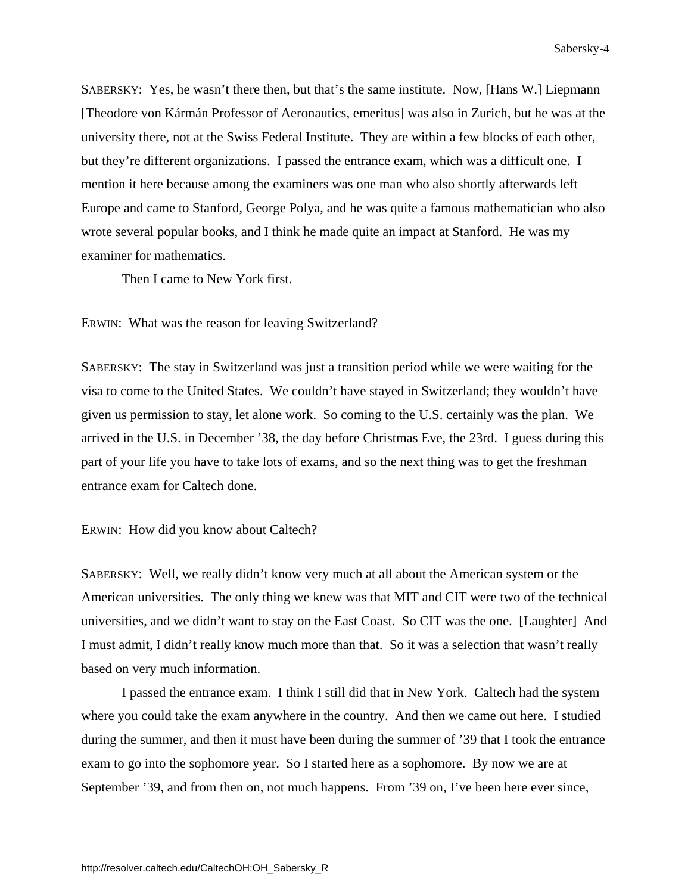SABERSKY: Yes, he wasn't there then, but that's the same institute. Now, [Hans W.] Liepmann [Theodore von Kármán Professor of Aeronautics, emeritus] was also in Zurich, but he was at the university there, not at the Swiss Federal Institute. They are within a few blocks of each other, but they're different organizations. I passed the entrance exam, which was a difficult one. I mention it here because among the examiners was one man who also shortly afterwards left Europe and came to Stanford, George Polya, and he was quite a famous mathematician who also wrote several popular books, and I think he made quite an impact at Stanford. He was my examiner for mathematics.

Then I came to New York first.

ERWIN: What was the reason for leaving Switzerland?

SABERSKY: The stay in Switzerland was just a transition period while we were waiting for the visa to come to the United States. We couldn't have stayed in Switzerland; they wouldn't have given us permission to stay, let alone work. So coming to the U.S. certainly was the plan. We arrived in the U.S. in December '38, the day before Christmas Eve, the 23rd. I guess during this part of your life you have to take lots of exams, and so the next thing was to get the freshman entrance exam for Caltech done.

ERWIN: How did you know about Caltech?

SABERSKY: Well, we really didn't know very much at all about the American system or the American universities. The only thing we knew was that MIT and CIT were two of the technical universities, and we didn't want to stay on the East Coast. So CIT was the one. [Laughter] And I must admit, I didn't really know much more than that. So it was a selection that wasn't really based on very much information.

 I passed the entrance exam. I think I still did that in New York. Caltech had the system where you could take the exam anywhere in the country. And then we came out here. I studied during the summer, and then it must have been during the summer of '39 that I took the entrance exam to go into the sophomore year. So I started here as a sophomore. By now we are at September '39, and from then on, not much happens. From '39 on, I've been here ever since,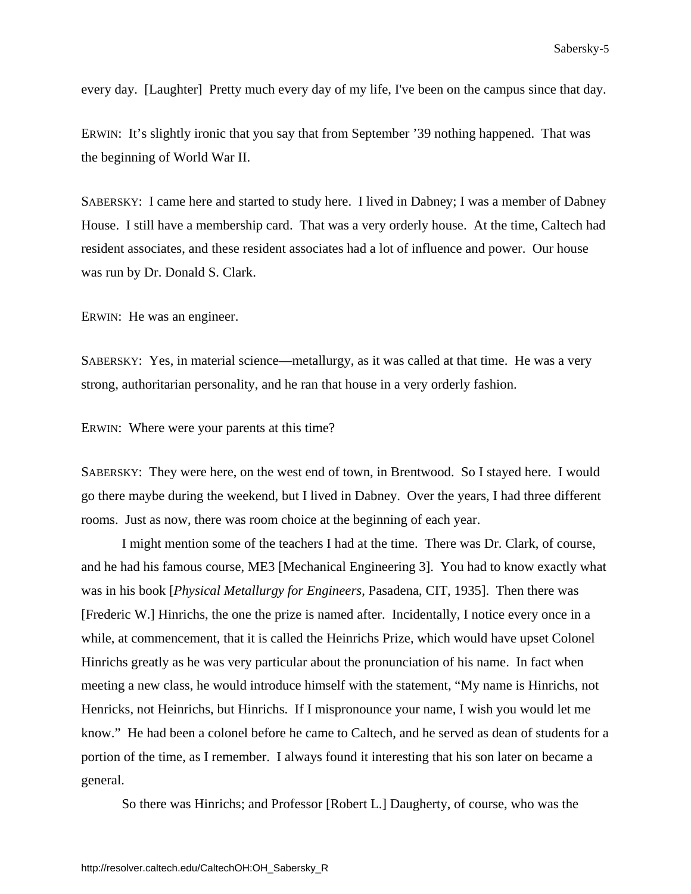<span id="page-9-0"></span>every day. [Laughter] Pretty much every day of my life, I've been on the campus since that day.

ERWIN: It's slightly ironic that you say that from September '39 nothing happened. That was the beginning of World War II.

SABERSKY: I came here and started to study here. I lived in Dabney; I was a member of Dabney House. I still have a membership card. That was a very orderly house. At the time, Caltech had resident associates, and these resident associates had a lot of influence and power. Our house was run by Dr. Donald S. Clark.

ERWIN: He was an engineer.

SABERSKY: Yes, in material science—metallurgy, as it was called at that time. He was a very strong, authoritarian personality, and he ran that house in a very orderly fashion.

ERWIN: Where were your parents at this time?

SABERSKY: They were here, on the west end of town, in Brentwood. So I stayed here. I would go there maybe during the weekend, but I lived in Dabney. Over the years, I had three different rooms. Just as now, there was room choice at the beginning of each year.

 I might mention some of the teachers I had at the time. There was Dr. Clark, of course, and he had his famous course, ME3 [Mechanical Engineering 3]. You had to know exactly what was in his book [*Physical Metallurgy for Engineers*, Pasadena, CIT, 1935]. Then there was [Frederic W.] Hinrichs, the one the prize is named after. Incidentally, I notice every once in a while, at commencement, that it is called the Heinrichs Prize, which would have upset Colonel Hinrichs greatly as he was very particular about the pronunciation of his name. In fact when meeting a new class, he would introduce himself with the statement, "My name is Hinrichs, not Henricks, not Heinrichs, but Hinrichs. If I mispronounce your name, I wish you would let me know." He had been a colonel before he came to Caltech, and he served as dean of students for a portion of the time, as I remember. I always found it interesting that his son later on became a general.

So there was Hinrichs; and Professor [Robert L.] Daugherty, of course, who was the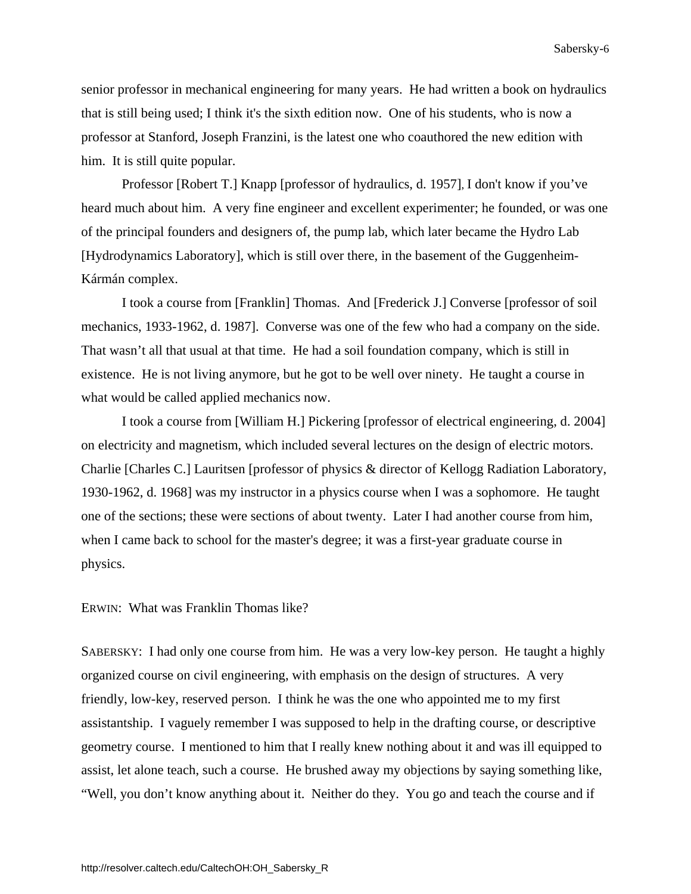senior professor in mechanical engineering for many years. He had written a book on hydraulics that is still being used; I think it's the sixth edition now. One of his students, who is now a professor at Stanford, Joseph Franzini, is the latest one who coauthored the new edition with him. It is still quite popular.

 Professor [Robert T.] Knapp [professor of hydraulics, d. 1957], I don't know if you've heard much about him. A very fine engineer and excellent experimenter; he founded, or was one of the principal founders and designers of, the pump lab, which later became the Hydro Lab [Hydrodynamics Laboratory], which is still over there, in the basement of the Guggenheim-Kármán complex.

 I took a course from [Franklin] Thomas. And [Frederick J.] Converse [professor of soil mechanics, 1933-1962, d. 1987]. Converse was one of the few who had a company on the side. That wasn't all that usual at that time. He had a soil foundation company, which is still in existence. He is not living anymore, but he got to be well over ninety. He taught a course in what would be called applied mechanics now.

 I took a course from [William H.] Pickering [professor of electrical engineering, d. 2004] on electricity and magnetism, which included several lectures on the design of electric motors. Charlie [Charles C.] Lauritsen [professor of physics & director of Kellogg Radiation Laboratory, 1930-1962, d. 1968] was my instructor in a physics course when I was a sophomore. He taught one of the sections; these were sections of about twenty. Later I had another course from him, when I came back to school for the master's degree; it was a first-year graduate course in physics.

### ERWIN: What was Franklin Thomas like?

SABERSKY: I had only one course from him. He was a very low-key person. He taught a highly organized course on civil engineering, with emphasis on the design of structures. A very friendly, low-key, reserved person. I think he was the one who appointed me to my first assistantship. I vaguely remember I was supposed to help in the drafting course, or descriptive geometry course. I mentioned to him that I really knew nothing about it and was ill equipped to assist, let alone teach, such a course. He brushed away my objections by saying something like, "Well, you don't know anything about it. Neither do they. You go and teach the course and if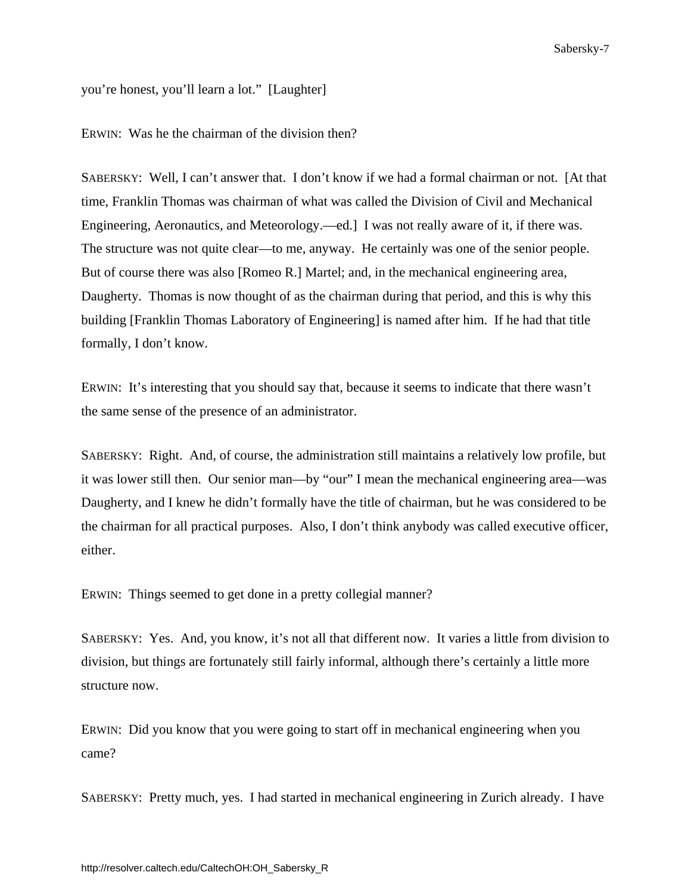you're honest, you'll learn a lot." [Laughter]

ERWIN: Was he the chairman of the division then?

SABERSKY: Well, I can't answer that. I don't know if we had a formal chairman or not. [At that time, Franklin Thomas was chairman of what was called the Division of Civil and Mechanical Engineering, Aeronautics, and Meteorology.—ed.] I was not really aware of it, if there was. The structure was not quite clear—to me, anyway. He certainly was one of the senior people. But of course there was also [Romeo R.] Martel; and, in the mechanical engineering area, Daugherty. Thomas is now thought of as the chairman during that period, and this is why this building [Franklin Thomas Laboratory of Engineering] is named after him. If he had that title formally, I don't know.

ERWIN: It's interesting that you should say that, because it seems to indicate that there wasn't the same sense of the presence of an administrator.

SABERSKY: Right. And, of course, the administration still maintains a relatively low profile, but it was lower still then. Our senior man—by "our" I mean the mechanical engineering area—was Daugherty, and I knew he didn't formally have the title of chairman, but he was considered to be the chairman for all practical purposes. Also, I don't think anybody was called executive officer, either.

ERWIN: Things seemed to get done in a pretty collegial manner?

SABERSKY: Yes. And, you know, it's not all that different now. It varies a little from division to division, but things are fortunately still fairly informal, although there's certainly a little more structure now.

ERWIN: Did you know that you were going to start off in mechanical engineering when you came?

SABERSKY: Pretty much, yes. I had started in mechanical engineering in Zurich already. I have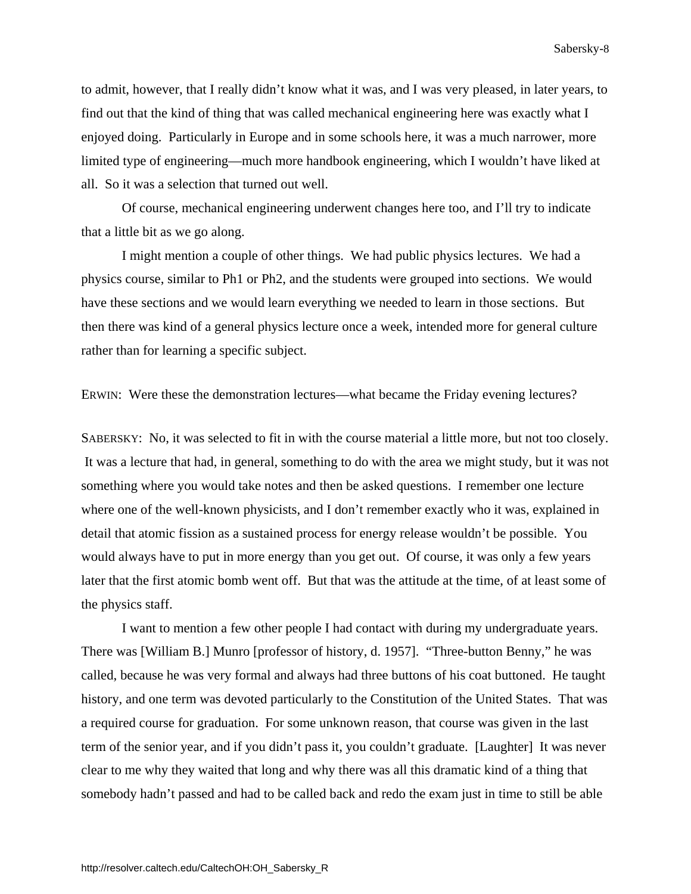to admit, however, that I really didn't know what it was, and I was very pleased, in later years, to find out that the kind of thing that was called mechanical engineering here was exactly what I enjoyed doing. Particularly in Europe and in some schools here, it was a much narrower, more limited type of engineering—much more handbook engineering, which I wouldn't have liked at all. So it was a selection that turned out well.

 Of course, mechanical engineering underwent changes here too, and I'll try to indicate that a little bit as we go along.

 I might mention a couple of other things. We had public physics lectures. We had a physics course, similar to Ph1 or Ph2, and the students were grouped into sections. We would have these sections and we would learn everything we needed to learn in those sections. But then there was kind of a general physics lecture once a week, intended more for general culture rather than for learning a specific subject.

ERWIN: Were these the demonstration lectures—what became the Friday evening lectures?

SABERSKY: No, it was selected to fit in with the course material a little more, but not too closely. It was a lecture that had, in general, something to do with the area we might study, but it was not something where you would take notes and then be asked questions. I remember one lecture where one of the well-known physicists, and I don't remember exactly who it was, explained in detail that atomic fission as a sustained process for energy release wouldn't be possible. You would always have to put in more energy than you get out. Of course, it was only a few years later that the first atomic bomb went off. But that was the attitude at the time, of at least some of the physics staff.

 I want to mention a few other people I had contact with during my undergraduate years. There was [William B.] Munro [professor of history, d. 1957]. "Three-button Benny," he was called, because he was very formal and always had three buttons of his coat buttoned. He taught history, and one term was devoted particularly to the Constitution of the United States. That was a required course for graduation. For some unknown reason, that course was given in the last term of the senior year, and if you didn't pass it, you couldn't graduate. [Laughter] It was never clear to me why they waited that long and why there was all this dramatic kind of a thing that somebody hadn't passed and had to be called back and redo the exam just in time to still be able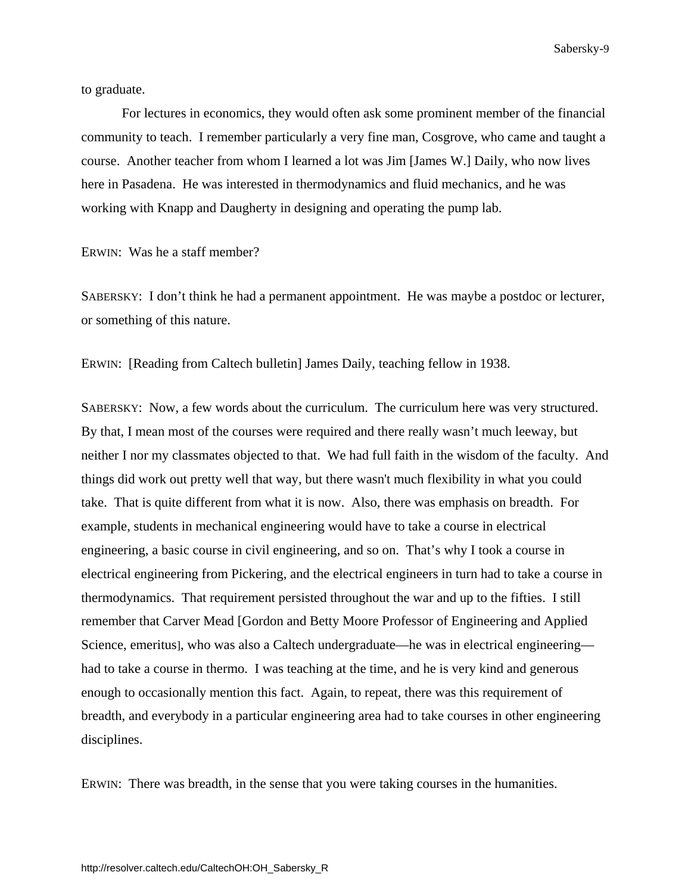to graduate.

 For lectures in economics, they would often ask some prominent member of the financial community to teach. I remember particularly a very fine man, Cosgrove, who came and taught a course. Another teacher from whom I learned a lot was Jim [James W.] Daily, who now lives here in Pasadena. He was interested in thermodynamics and fluid mechanics, and he was working with Knapp and Daugherty in designing and operating the pump lab.

ERWIN: Was he a staff member?

SABERSKY: I don't think he had a permanent appointment. He was maybe a postdoc or lecturer, or something of this nature.

ERWIN: [Reading from Caltech bulletin] James Daily, teaching fellow in 1938.

SABERSKY: Now, a few words about the curriculum. The curriculum here was very structured. By that, I mean most of the courses were required and there really wasn't much leeway, but neither I nor my classmates objected to that. We had full faith in the wisdom of the faculty. And things did work out pretty well that way, but there wasn't much flexibility in what you could take. That is quite different from what it is now. Also, there was emphasis on breadth. For example, students in mechanical engineering would have to take a course in electrical engineering, a basic course in civil engineering, and so on. That's why I took a course in electrical engineering from Pickering, and the electrical engineers in turn had to take a course in thermodynamics. That requirement persisted throughout the war and up to the fifties. I still remember that Carver Mead [Gordon and Betty Moore Professor of Engineering and Applied Science, emeritus], who was also a Caltech undergraduate—he was in electrical engineering had to take a course in thermo. I was teaching at the time, and he is very kind and generous enough to occasionally mention this fact. Again, to repeat, there was this requirement of breadth, and everybody in a particular engineering area had to take courses in other engineering disciplines.

ERWIN: There was breadth, in the sense that you were taking courses in the humanities.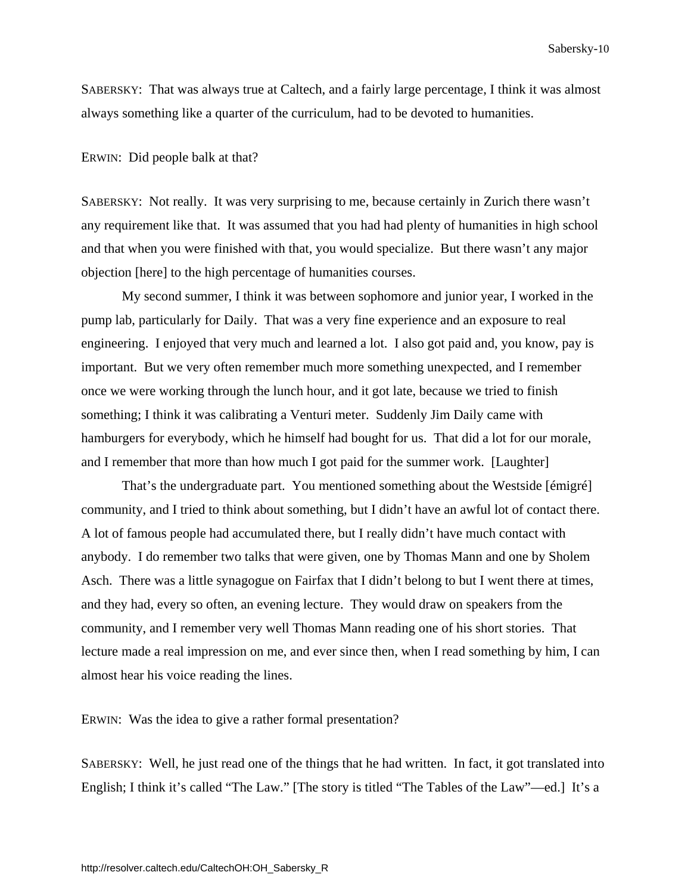SABERSKY: That was always true at Caltech, and a fairly large percentage, I think it was almost always something like a quarter of the curriculum, had to be devoted to humanities.

### ERWIN: Did people balk at that?

SABERSKY: Not really. It was very surprising to me, because certainly in Zurich there wasn't any requirement like that. It was assumed that you had had plenty of humanities in high school and that when you were finished with that, you would specialize. But there wasn't any major objection [here] to the high percentage of humanities courses.

 My second summer, I think it was between sophomore and junior year, I worked in the pump lab, particularly for Daily. That was a very fine experience and an exposure to real engineering. I enjoyed that very much and learned a lot. I also got paid and, you know, pay is important. But we very often remember much more something unexpected, and I remember once we were working through the lunch hour, and it got late, because we tried to finish something; I think it was calibrating a Venturi meter. Suddenly Jim Daily came with hamburgers for everybody, which he himself had bought for us. That did a lot for our morale, and I remember that more than how much I got paid for the summer work. [Laughter]

 That's the undergraduate part. You mentioned something about the Westside [émigré] community, and I tried to think about something, but I didn't have an awful lot of contact there. A lot of famous people had accumulated there, but I really didn't have much contact with anybody. I do remember two talks that were given, one by Thomas Mann and one by Sholem Asch. There was a little synagogue on Fairfax that I didn't belong to but I went there at times, and they had, every so often, an evening lecture. They would draw on speakers from the community, and I remember very well Thomas Mann reading one of his short stories. That lecture made a real impression on me, and ever since then, when I read something by him, I can almost hear his voice reading the lines.

### ERWIN: Was the idea to give a rather formal presentation?

SABERSKY: Well, he just read one of the things that he had written. In fact, it got translated into English; I think it's called "The Law." [The story is titled "The Tables of the Law"—ed.] It's a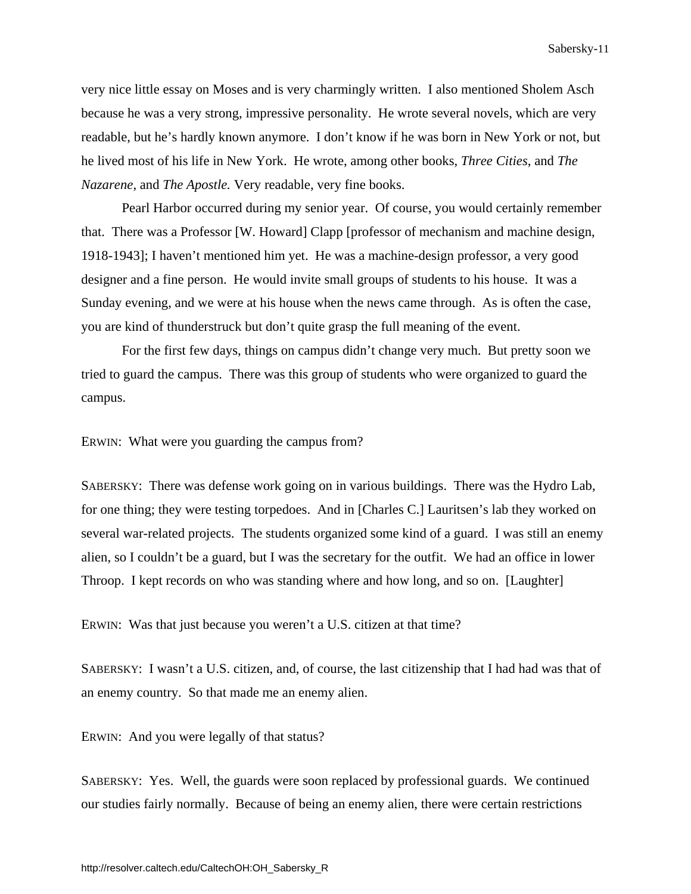very nice little essay on Moses and is very charmingly written. I also mentioned Sholem Asch because he was a very strong, impressive personality. He wrote several novels, which are very readable, but he's hardly known anymore. I don't know if he was born in New York or not, but he lived most of his life in New York. He wrote, among other books, *Three Cities*, and *The Nazarene*, and *The Apostle.* Very readable, very fine books.

 Pearl Harbor occurred during my senior year. Of course, you would certainly remember that. There was a Professor [W. Howard] Clapp [professor of mechanism and machine design, 1918-1943]; I haven't mentioned him yet. He was a machine-design professor, a very good designer and a fine person. He would invite small groups of students to his house. It was a Sunday evening, and we were at his house when the news came through. As is often the case, you are kind of thunderstruck but don't quite grasp the full meaning of the event.

 For the first few days, things on campus didn't change very much. But pretty soon we tried to guard the campus. There was this group of students who were organized to guard the campus.

ERWIN: What were you guarding the campus from?

SABERSKY: There was defense work going on in various buildings. There was the Hydro Lab, for one thing; they were testing torpedoes. And in [Charles C.] Lauritsen's lab they worked on several war-related projects. The students organized some kind of a guard. I was still an enemy alien, so I couldn't be a guard, but I was the secretary for the outfit. We had an office in lower Throop. I kept records on who was standing where and how long, and so on. [Laughter]

ERWIN: Was that just because you weren't a U.S. citizen at that time?

SABERSKY: I wasn't a U.S. citizen, and, of course, the last citizenship that I had had was that of an enemy country. So that made me an enemy alien.

ERWIN: And you were legally of that status?

SABERSKY: Yes. Well, the guards were soon replaced by professional guards. We continued our studies fairly normally. Because of being an enemy alien, there were certain restrictions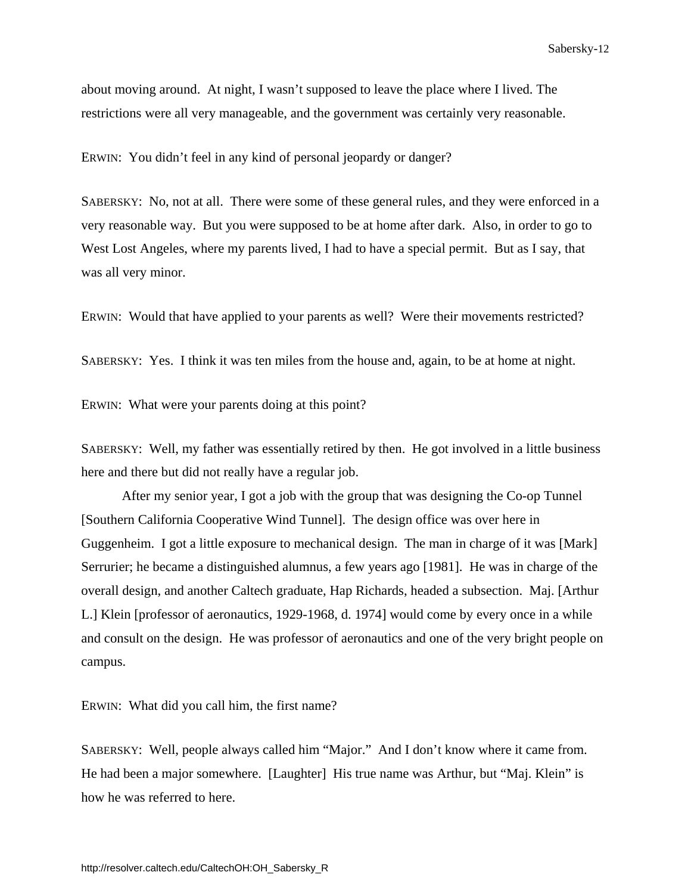about moving around. At night, I wasn't supposed to leave the place where I lived. The restrictions were all very manageable, and the government was certainly very reasonable.

ERWIN: You didn't feel in any kind of personal jeopardy or danger?

SABERSKY: No, not at all. There were some of these general rules, and they were enforced in a very reasonable way. But you were supposed to be at home after dark. Also, in order to go to West Lost Angeles, where my parents lived, I had to have a special permit. But as I say, that was all very minor.

ERWIN: Would that have applied to your parents as well? Were their movements restricted?

SABERSKY: Yes. I think it was ten miles from the house and, again, to be at home at night.

ERWIN: What were your parents doing at this point?

SABERSKY: Well, my father was essentially retired by then. He got involved in a little business here and there but did not really have a regular job.

 After my senior year, I got a job with the group that was designing the Co-op Tunnel [Southern California Cooperative Wind Tunnel]. The design office was over here in Guggenheim. I got a little exposure to mechanical design. The man in charge of it was [Mark] Serrurier; he became a distinguished alumnus, a few years ago [1981]. He was in charge of the overall design, and another Caltech graduate, Hap Richards, headed a subsection. Maj. [Arthur L.] Klein [professor of aeronautics, 1929-1968, d. 1974] would come by every once in a while and consult on the design. He was professor of aeronautics and one of the very bright people on campus.

ERWIN: What did you call him, the first name?

SABERSKY: Well, people always called him "Major." And I don't know where it came from. He had been a major somewhere. [Laughter] His true name was Arthur, but "Maj. Klein" is how he was referred to here.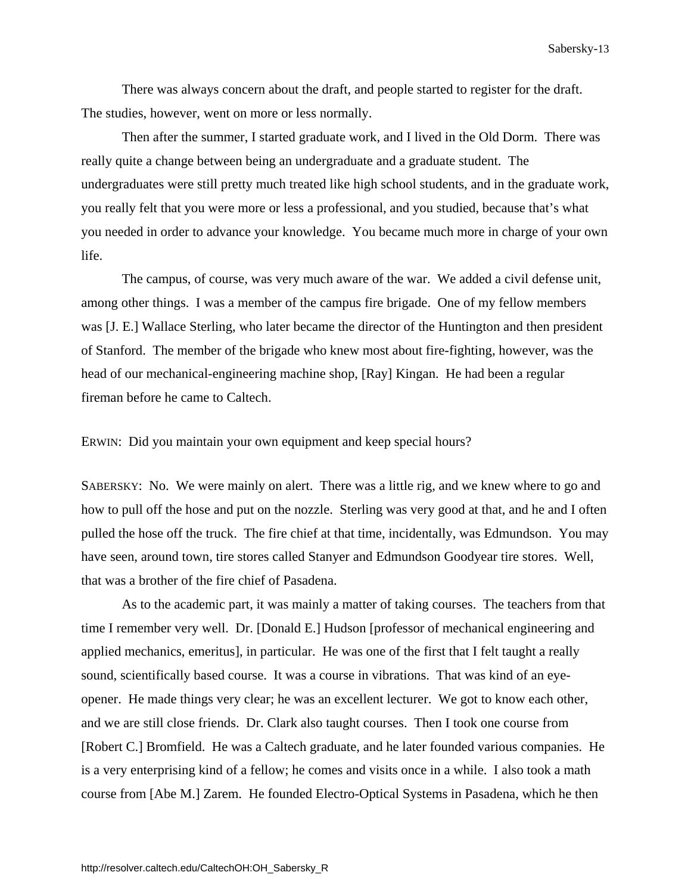There was always concern about the draft, and people started to register for the draft. The studies, however, went on more or less normally.

 Then after the summer, I started graduate work, and I lived in the Old Dorm. There was really quite a change between being an undergraduate and a graduate student. The undergraduates were still pretty much treated like high school students, and in the graduate work, you really felt that you were more or less a professional, and you studied, because that's what you needed in order to advance your knowledge. You became much more in charge of your own life.

 The campus, of course, was very much aware of the war. We added a civil defense unit, among other things. I was a member of the campus fire brigade. One of my fellow members was [J. E.] Wallace Sterling, who later became the director of the Huntington and then president of Stanford. The member of the brigade who knew most about fire-fighting, however, was the head of our mechanical-engineering machine shop, [Ray] Kingan. He had been a regular fireman before he came to Caltech.

ERWIN: Did you maintain your own equipment and keep special hours?

SABERSKY: No. We were mainly on alert. There was a little rig, and we knew where to go and how to pull off the hose and put on the nozzle. Sterling was very good at that, and he and I often pulled the hose off the truck. The fire chief at that time, incidentally, was Edmundson. You may have seen, around town, tire stores called Stanyer and Edmundson Goodyear tire stores. Well, that was a brother of the fire chief of Pasadena.

 As to the academic part, it was mainly a matter of taking courses. The teachers from that time I remember very well. Dr. [Donald E.] Hudson [professor of mechanical engineering and applied mechanics, emeritus], in particular. He was one of the first that I felt taught a really sound, scientifically based course. It was a course in vibrations. That was kind of an eyeopener. He made things very clear; he was an excellent lecturer. We got to know each other, and we are still close friends. Dr. Clark also taught courses. Then I took one course from [Robert C.] Bromfield. He was a Caltech graduate, and he later founded various companies. He is a very enterprising kind of a fellow; he comes and visits once in a while. I also took a math course from [Abe M.] Zarem. He founded Electro-Optical Systems in Pasadena, which he then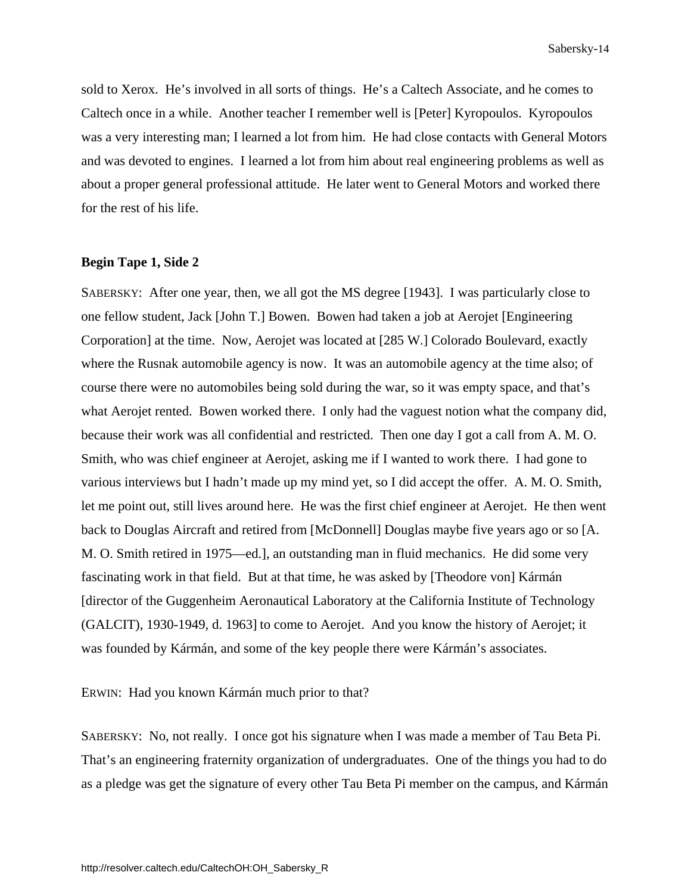<span id="page-18-0"></span>sold to Xerox. He's involved in all sorts of things. He's a Caltech Associate, and he comes to Caltech once in a while. Another teacher I remember well is [Peter] Kyropoulos. Kyropoulos was a very interesting man; I learned a lot from him. He had close contacts with General Motors and was devoted to engines. I learned a lot from him about real engineering problems as well as about a proper general professional attitude. He later went to General Motors and worked there for the rest of his life.

### **Begin Tape 1, Side 2**

SABERSKY: After one year, then, we all got the MS degree [1943]. I was particularly close to one fellow student, Jack [John T.] Bowen. Bowen had taken a job at Aerojet [Engineering Corporation] at the time. Now, Aerojet was located at [285 W.] Colorado Boulevard, exactly where the Rusnak automobile agency is now. It was an automobile agency at the time also; of course there were no automobiles being sold during the war, so it was empty space, and that's what Aerojet rented. Bowen worked there. I only had the vaguest notion what the company did, because their work was all confidential and restricted. Then one day I got a call from A. M. O. Smith, who was chief engineer at Aerojet, asking me if I wanted to work there. I had gone to various interviews but I hadn't made up my mind yet, so I did accept the offer. A. M. O. Smith, let me point out, still lives around here. He was the first chief engineer at Aerojet. He then went back to Douglas Aircraft and retired from [McDonnell] Douglas maybe five years ago or so [A. M. O. Smith retired in 1975—ed.], an outstanding man in fluid mechanics. He did some very fascinating work in that field. But at that time, he was asked by [Theodore von] Kármán [director of the Guggenheim Aeronautical Laboratory at the California Institute of Technology (GALCIT), 1930-1949, d. 1963] to come to Aerojet. And you know the history of Aerojet; it was founded by Kármán, and some of the key people there were Kármán's associates.

ERWIN: Had you known Kármán much prior to that?

SABERSKY: No, not really. I once got his signature when I was made a member of Tau Beta Pi. That's an engineering fraternity organization of undergraduates. One of the things you had to do as a pledge was get the signature of every other Tau Beta Pi member on the campus, and Kármán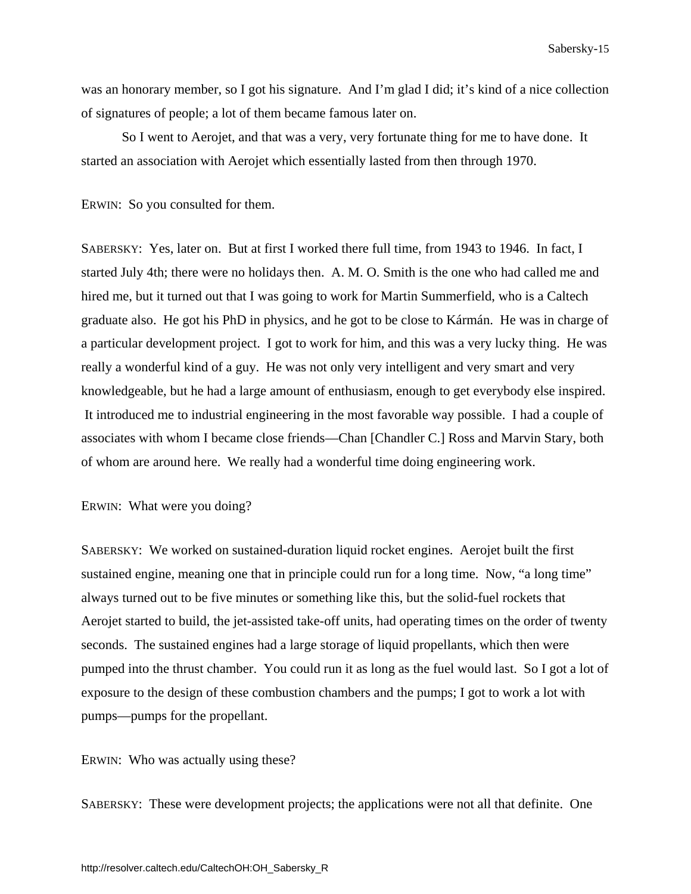was an honorary member, so I got his signature. And I'm glad I did; it's kind of a nice collection of signatures of people; a lot of them became famous later on.

 So I went to Aerojet, and that was a very, very fortunate thing for me to have done. It started an association with Aerojet which essentially lasted from then through 1970.

ERWIN: So you consulted for them.

SABERSKY: Yes, later on. But at first I worked there full time, from 1943 to 1946. In fact, I started July 4th; there were no holidays then. A. M. O. Smith is the one who had called me and hired me, but it turned out that I was going to work for Martin Summerfield, who is a Caltech graduate also. He got his PhD in physics, and he got to be close to Kármán. He was in charge of a particular development project. I got to work for him, and this was a very lucky thing. He was really a wonderful kind of a guy. He was not only very intelligent and very smart and very knowledgeable, but he had a large amount of enthusiasm, enough to get everybody else inspired. It introduced me to industrial engineering in the most favorable way possible. I had a couple of associates with whom I became close friends—Chan [Chandler C.] Ross and Marvin Stary, both of whom are around here. We really had a wonderful time doing engineering work.

ERWIN: What were you doing?

SABERSKY: We worked on sustained-duration liquid rocket engines. Aerojet built the first sustained engine, meaning one that in principle could run for a long time. Now, "a long time" always turned out to be five minutes or something like this, but the solid-fuel rockets that Aerojet started to build, the jet-assisted take-off units, had operating times on the order of twenty seconds. The sustained engines had a large storage of liquid propellants, which then were pumped into the thrust chamber. You could run it as long as the fuel would last. So I got a lot of exposure to the design of these combustion chambers and the pumps; I got to work a lot with pumps—pumps for the propellant.

ERWIN: Who was actually using these?

SABERSKY: These were development projects; the applications were not all that definite. One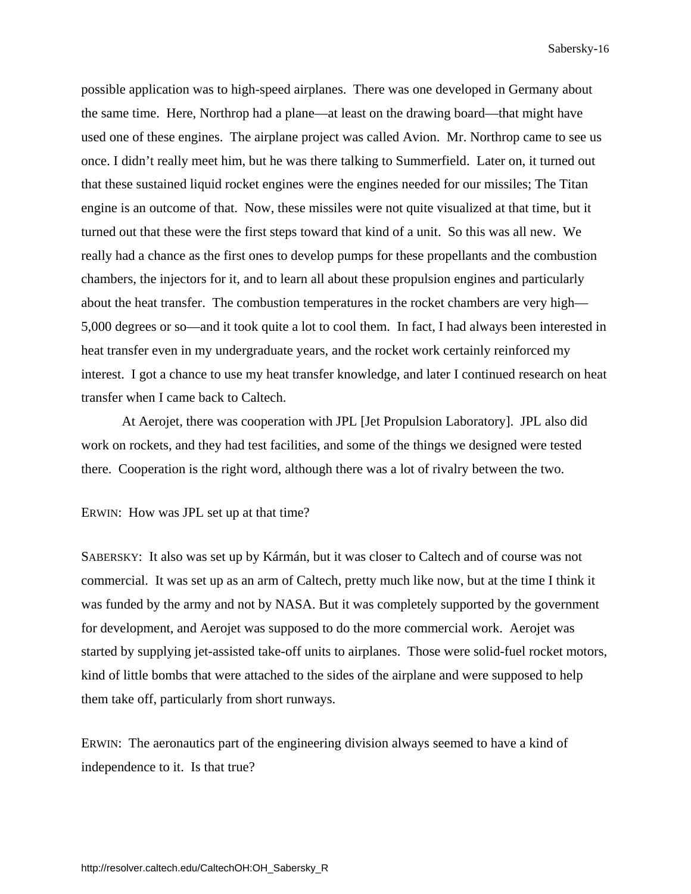possible application was to high-speed airplanes. There was one developed in Germany about the same time. Here, Northrop had a plane—at least on the drawing board—that might have used one of these engines. The airplane project was called Avion. Mr. Northrop came to see us once. I didn't really meet him, but he was there talking to Summerfield. Later on, it turned out that these sustained liquid rocket engines were the engines needed for our missiles; The Titan engine is an outcome of that. Now, these missiles were not quite visualized at that time, but it turned out that these were the first steps toward that kind of a unit. So this was all new. We really had a chance as the first ones to develop pumps for these propellants and the combustion chambers, the injectors for it, and to learn all about these propulsion engines and particularly about the heat transfer. The combustion temperatures in the rocket chambers are very high— 5,000 degrees or so—and it took quite a lot to cool them. In fact, I had always been interested in heat transfer even in my undergraduate years, and the rocket work certainly reinforced my interest. I got a chance to use my heat transfer knowledge, and later I continued research on heat transfer when I came back to Caltech.

 At Aerojet, there was cooperation with JPL [Jet Propulsion Laboratory]. JPL also did work on rockets, and they had test facilities, and some of the things we designed were tested there. Cooperation is the right word, although there was a lot of rivalry between the two.

ERWIN: How was JPL set up at that time?

SABERSKY: It also was set up by Kármán, but it was closer to Caltech and of course was not commercial. It was set up as an arm of Caltech, pretty much like now, but at the time I think it was funded by the army and not by NASA. But it was completely supported by the government for development, and Aerojet was supposed to do the more commercial work. Aerojet was started by supplying jet-assisted take-off units to airplanes. Those were solid-fuel rocket motors, kind of little bombs that were attached to the sides of the airplane and were supposed to help them take off, particularly from short runways.

ERWIN: The aeronautics part of the engineering division always seemed to have a kind of independence to it. Is that true?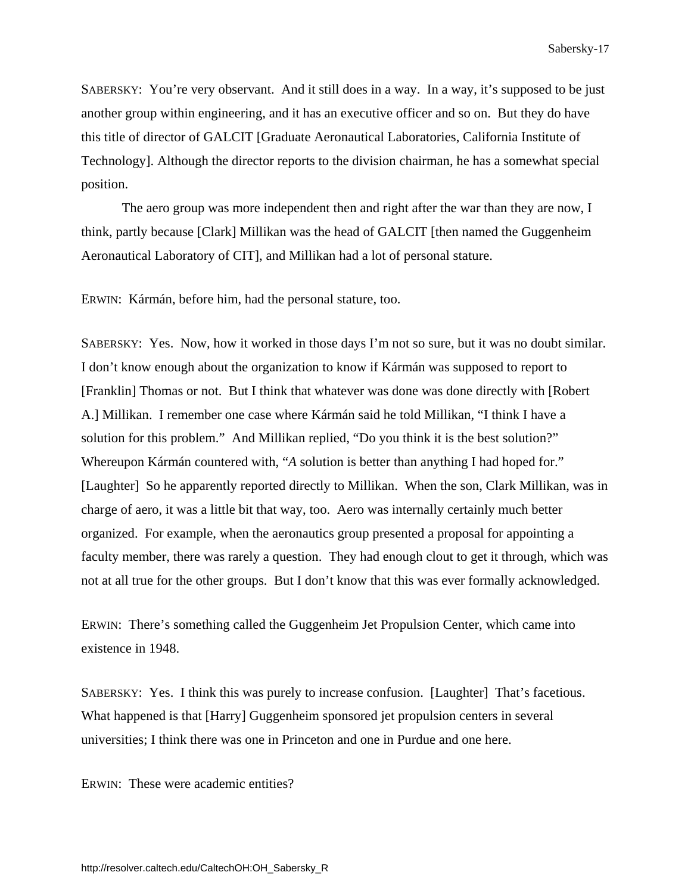SABERSKY: You're very observant. And it still does in a way. In a way, it's supposed to be just another group within engineering, and it has an executive officer and so on. But they do have this title of director of GALCIT [Graduate Aeronautical Laboratories, California Institute of Technology]. Although the director reports to the division chairman, he has a somewhat special position.

 The aero group was more independent then and right after the war than they are now, I think, partly because [Clark] Millikan was the head of GALCIT [then named the Guggenheim Aeronautical Laboratory of CIT], and Millikan had a lot of personal stature.

ERWIN: Kármán, before him, had the personal stature, too.

SABERSKY: Yes. Now, how it worked in those days I'm not so sure, but it was no doubt similar. I don't know enough about the organization to know if Kármán was supposed to report to [Franklin] Thomas or not. But I think that whatever was done was done directly with [Robert A.] Millikan. I remember one case where Kármán said he told Millikan, "I think I have a solution for this problem." And Millikan replied, "Do you think it is the best solution?" Whereupon Kármán countered with, "*A* solution is better than anything I had hoped for." [Laughter] So he apparently reported directly to Millikan. When the son, Clark Millikan, was in charge of aero, it was a little bit that way, too. Aero was internally certainly much better organized. For example, when the aeronautics group presented a proposal for appointing a faculty member, there was rarely a question. They had enough clout to get it through, which was not at all true for the other groups. But I don't know that this was ever formally acknowledged.

ERWIN: There's something called the Guggenheim Jet Propulsion Center, which came into existence in 1948.

SABERSKY: Yes. I think this was purely to increase confusion. [Laughter] That's facetious. What happened is that [Harry] Guggenheim sponsored jet propulsion centers in several universities; I think there was one in Princeton and one in Purdue and one here.

ERWIN: These were academic entities?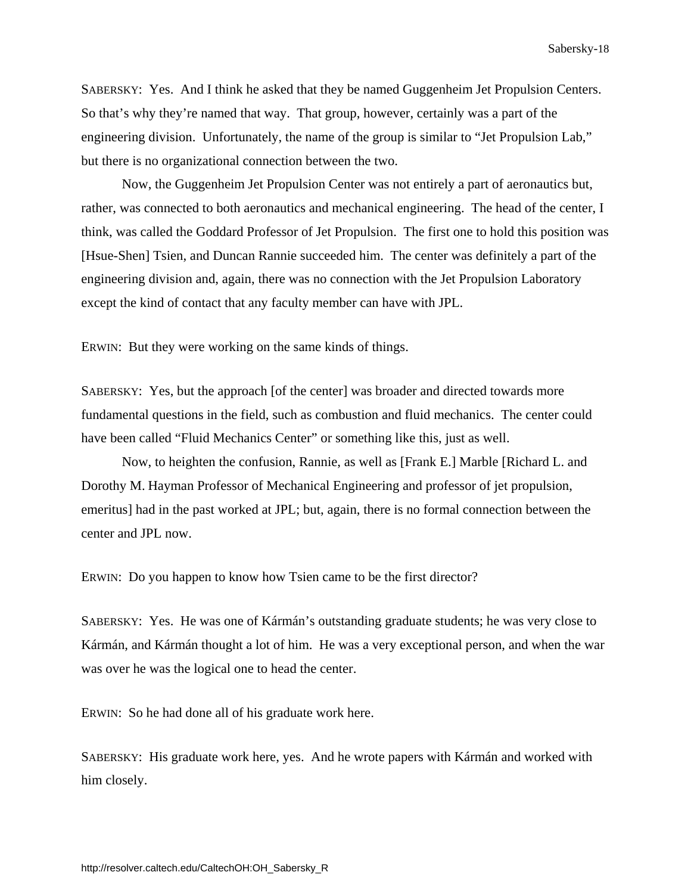SABERSKY: Yes. And I think he asked that they be named Guggenheim Jet Propulsion Centers. So that's why they're named that way. That group, however, certainly was a part of the engineering division. Unfortunately, the name of the group is similar to "Jet Propulsion Lab," but there is no organizational connection between the two.

 Now, the Guggenheim Jet Propulsion Center was not entirely a part of aeronautics but, rather, was connected to both aeronautics and mechanical engineering. The head of the center, I think, was called the Goddard Professor of Jet Propulsion. The first one to hold this position was [Hsue-Shen] Tsien, and Duncan Rannie succeeded him. The center was definitely a part of the engineering division and, again, there was no connection with the Jet Propulsion Laboratory except the kind of contact that any faculty member can have with JPL.

ERWIN: But they were working on the same kinds of things.

SABERSKY: Yes, but the approach [of the center] was broader and directed towards more fundamental questions in the field, such as combustion and fluid mechanics. The center could have been called "Fluid Mechanics Center" or something like this, just as well.

 Now, to heighten the confusion, Rannie, as well as [Frank E.] Marble [Richard L. and Dorothy M. Hayman Professor of Mechanical Engineering and professor of jet propulsion, emeritus] had in the past worked at JPL; but, again, there is no formal connection between the center and JPL now.

ERWIN: Do you happen to know how Tsien came to be the first director?

SABERSKY: Yes. He was one of Kármán's outstanding graduate students; he was very close to Kármán, and Kármán thought a lot of him. He was a very exceptional person, and when the war was over he was the logical one to head the center.

ERWIN: So he had done all of his graduate work here.

SABERSKY: His graduate work here, yes. And he wrote papers with Kármán and worked with him closely.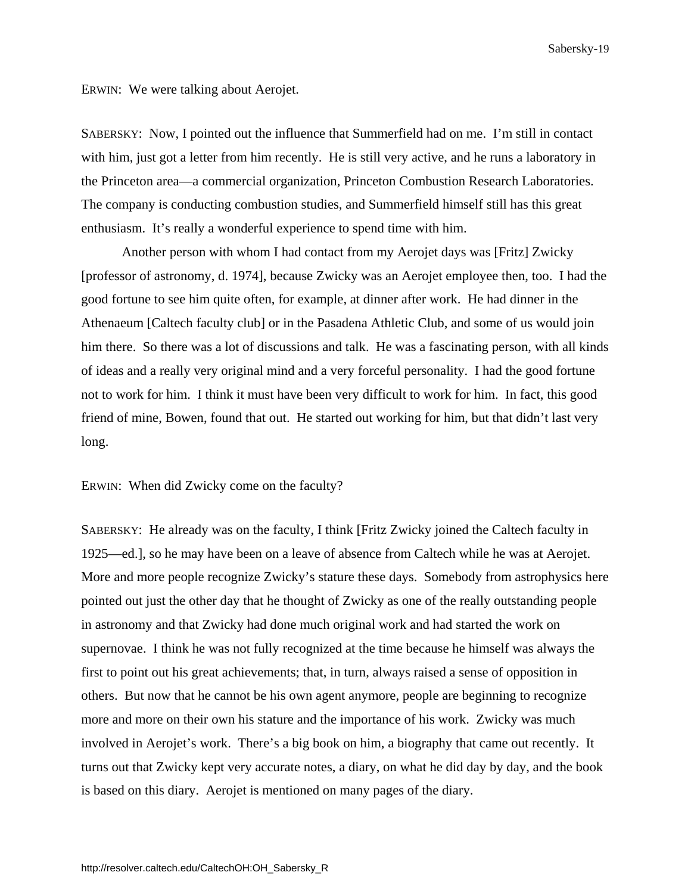ERWIN: We were talking about Aerojet.

SABERSKY: Now, I pointed out the influence that Summerfield had on me. I'm still in contact with him, just got a letter from him recently. He is still very active, and he runs a laboratory in the Princeton area—a commercial organization, Princeton Combustion Research Laboratories. The company is conducting combustion studies, and Summerfield himself still has this great enthusiasm. It's really a wonderful experience to spend time with him.

 Another person with whom I had contact from my Aerojet days was [Fritz] Zwicky [professor of astronomy, d. 1974], because Zwicky was an Aerojet employee then, too. I had the good fortune to see him quite often, for example, at dinner after work. He had dinner in the Athenaeum [Caltech faculty club] or in the Pasadena Athletic Club, and some of us would join him there. So there was a lot of discussions and talk. He was a fascinating person, with all kinds of ideas and a really very original mind and a very forceful personality. I had the good fortune not to work for him. I think it must have been very difficult to work for him. In fact, this good friend of mine, Bowen, found that out. He started out working for him, but that didn't last very long.

ERWIN: When did Zwicky come on the faculty?

SABERSKY: He already was on the faculty, I think [Fritz Zwicky joined the Caltech faculty in 1925—ed.], so he may have been on a leave of absence from Caltech while he was at Aerojet. More and more people recognize Zwicky's stature these days. Somebody from astrophysics here pointed out just the other day that he thought of Zwicky as one of the really outstanding people in astronomy and that Zwicky had done much original work and had started the work on supernovae. I think he was not fully recognized at the time because he himself was always the first to point out his great achievements; that, in turn, always raised a sense of opposition in others. But now that he cannot be his own agent anymore, people are beginning to recognize more and more on their own his stature and the importance of his work. Zwicky was much involved in Aerojet's work. There's a big book on him, a biography that came out recently. It turns out that Zwicky kept very accurate notes, a diary, on what he did day by day, and the book is based on this diary. Aerojet is mentioned on many pages of the diary.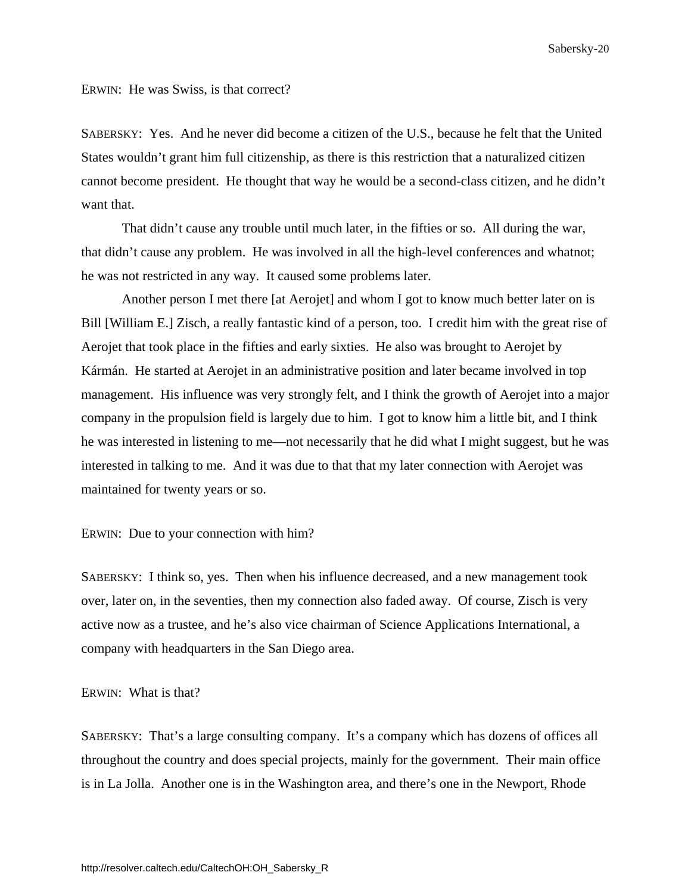ERWIN: He was Swiss, is that correct?

SABERSKY: Yes. And he never did become a citizen of the U.S., because he felt that the United States wouldn't grant him full citizenship, as there is this restriction that a naturalized citizen cannot become president. He thought that way he would be a second-class citizen, and he didn't want that.

 That didn't cause any trouble until much later, in the fifties or so. All during the war, that didn't cause any problem. He was involved in all the high-level conferences and whatnot; he was not restricted in any way. It caused some problems later.

 Another person I met there [at Aerojet] and whom I got to know much better later on is Bill [William E.] Zisch, a really fantastic kind of a person, too. I credit him with the great rise of Aerojet that took place in the fifties and early sixties. He also was brought to Aerojet by Kármán. He started at Aerojet in an administrative position and later became involved in top management. His influence was very strongly felt, and I think the growth of Aerojet into a major company in the propulsion field is largely due to him. I got to know him a little bit, and I think he was interested in listening to me—not necessarily that he did what I might suggest, but he was interested in talking to me. And it was due to that that my later connection with Aerojet was maintained for twenty years or so.

### ERWIN: Due to your connection with him?

SABERSKY: I think so, yes. Then when his influence decreased, and a new management took over, later on, in the seventies, then my connection also faded away. Of course, Zisch is very active now as a trustee, and he's also vice chairman of Science Applications International, a company with headquarters in the San Diego area.

### ERWIN: What is that?

SABERSKY: That's a large consulting company. It's a company which has dozens of offices all throughout the country and does special projects, mainly for the government. Their main office is in La Jolla. Another one is in the Washington area, and there's one in the Newport, Rhode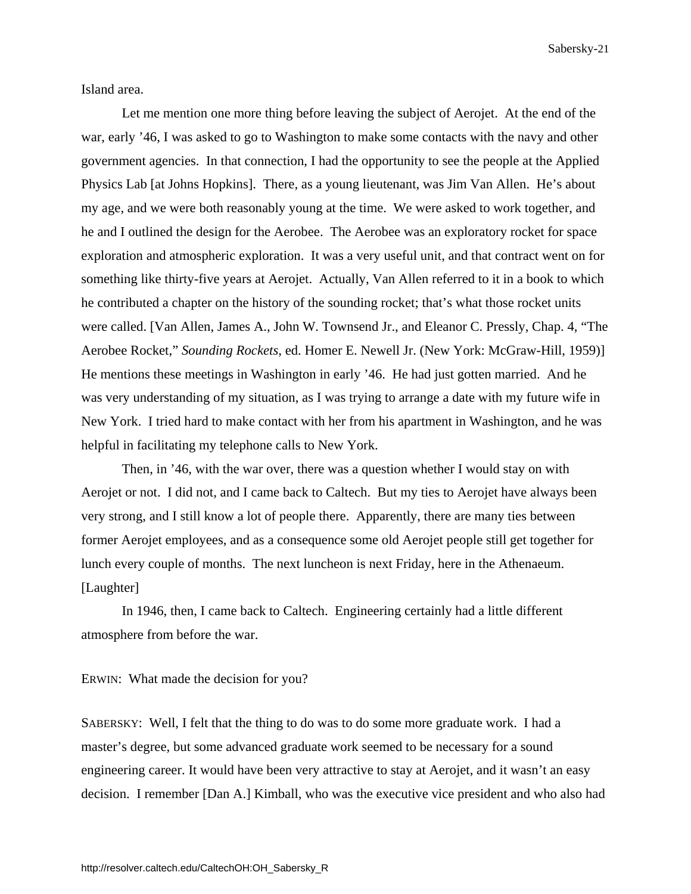<span id="page-25-0"></span>Island area.

 Let me mention one more thing before leaving the subject of Aerojet. At the end of the war, early '46, I was asked to go to Washington to make some contacts with the navy and other government agencies. In that connection, I had the opportunity to see the people at the Applied Physics Lab [at Johns Hopkins]. There, as a young lieutenant, was Jim Van Allen. He's about my age, and we were both reasonably young at the time. We were asked to work together, and he and I outlined the design for the Aerobee. The Aerobee was an exploratory rocket for space exploration and atmospheric exploration. It was a very useful unit, and that contract went on for something like thirty-five years at Aerojet. Actually, Van Allen referred to it in a book to which he contributed a chapter on the history of the sounding rocket; that's what those rocket units were called. [Van Allen, James A., John W. Townsend Jr., and Eleanor C. Pressly, Chap. 4, "The Aerobee Rocket," *Sounding Rockets*, ed. Homer E. Newell Jr. (New York: McGraw-Hill, 1959)] He mentions these meetings in Washington in early '46. He had just gotten married. And he was very understanding of my situation, as I was trying to arrange a date with my future wife in New York. I tried hard to make contact with her from his apartment in Washington, and he was helpful in facilitating my telephone calls to New York.

 Then, in '46, with the war over, there was a question whether I would stay on with Aerojet or not. I did not, and I came back to Caltech. But my ties to Aerojet have always been very strong, and I still know a lot of people there. Apparently, there are many ties between former Aerojet employees, and as a consequence some old Aerojet people still get together for lunch every couple of months. The next luncheon is next Friday, here in the Athenaeum. [Laughter]

 In 1946, then, I came back to Caltech. Engineering certainly had a little different atmosphere from before the war.

### ERWIN: What made the decision for you?

SABERSKY: Well, I felt that the thing to do was to do some more graduate work. I had a master's degree, but some advanced graduate work seemed to be necessary for a sound engineering career. It would have been very attractive to stay at Aerojet, and it wasn't an easy decision. I remember [Dan A.] Kimball, who was the executive vice president and who also had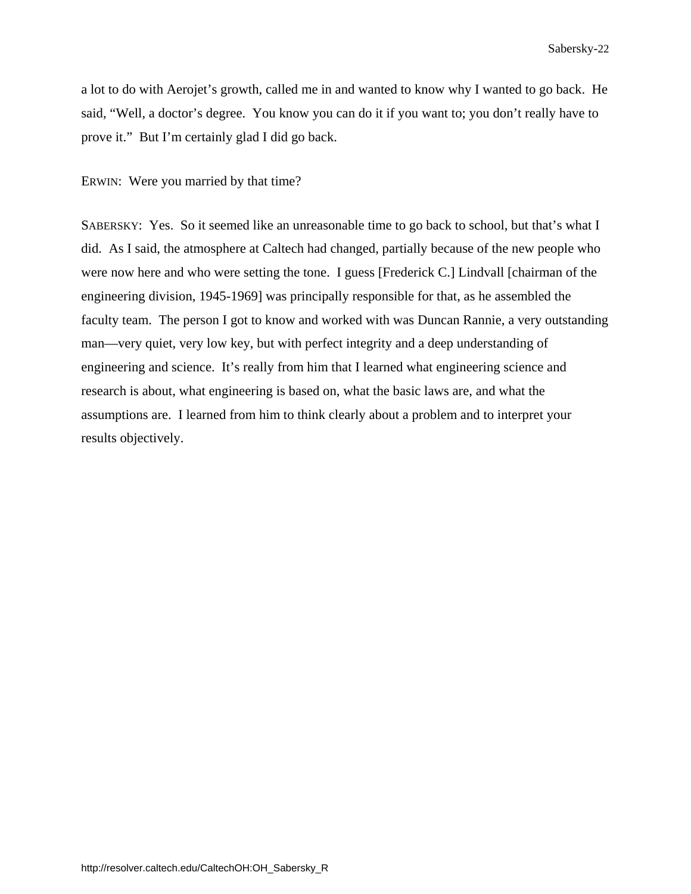a lot to do with Aerojet's growth, called me in and wanted to know why I wanted to go back. He said, "Well, a doctor's degree. You know you can do it if you want to; you don't really have to prove it." But I'm certainly glad I did go back.

ERWIN: Were you married by that time?

SABERSKY: Yes. So it seemed like an unreasonable time to go back to school, but that's what I did. As I said, the atmosphere at Caltech had changed, partially because of the new people who were now here and who were setting the tone. I guess [Frederick C.] Lindvall [chairman of the engineering division, 1945-1969] was principally responsible for that, as he assembled the faculty team. The person I got to know and worked with was Duncan Rannie, a very outstanding man—very quiet, very low key, but with perfect integrity and a deep understanding of engineering and science. It's really from him that I learned what engineering science and research is about, what engineering is based on, what the basic laws are, and what the assumptions are. I learned from him to think clearly about a problem and to interpret your results objectively.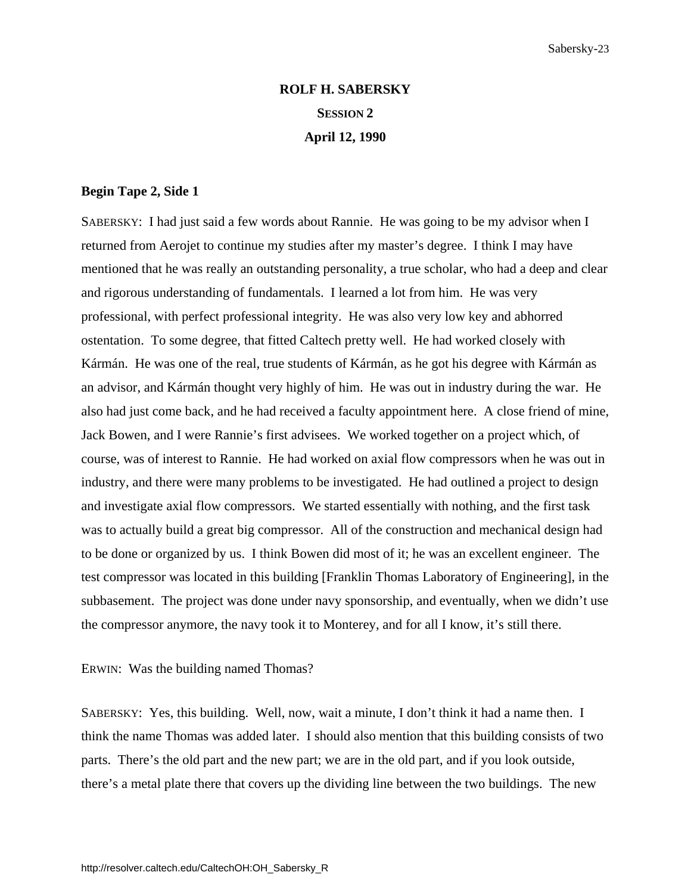# **ROLF H. SABERSKY SESSION 2 April 12, 1990**

#### **Begin Tape 2, Side 1**

SABERSKY: I had just said a few words about Rannie. He was going to be my advisor when I returned from Aerojet to continue my studies after my master's degree. I think I may have mentioned that he was really an outstanding personality, a true scholar, who had a deep and clear and rigorous understanding of fundamentals. I learned a lot from him. He was very professional, with perfect professional integrity. He was also very low key and abhorred ostentation. To some degree, that fitted Caltech pretty well. He had worked closely with Kármán. He was one of the real, true students of Kármán, as he got his degree with Kármán as an advisor, and Kármán thought very highly of him. He was out in industry during the war. He also had just come back, and he had received a faculty appointment here. A close friend of mine, Jack Bowen, and I were Rannie's first advisees. We worked together on a project which, of course, was of interest to Rannie. He had worked on axial flow compressors when he was out in industry, and there were many problems to be investigated. He had outlined a project to design and investigate axial flow compressors. We started essentially with nothing, and the first task was to actually build a great big compressor. All of the construction and mechanical design had to be done or organized by us. I think Bowen did most of it; he was an excellent engineer. The test compressor was located in this building [Franklin Thomas Laboratory of Engineering], in the subbasement. The project was done under navy sponsorship, and eventually, when we didn't use the compressor anymore, the navy took it to Monterey, and for all I know, it's still there.

ERWIN: Was the building named Thomas?

SABERSKY: Yes, this building. Well, now, wait a minute, I don't think it had a name then. I think the name Thomas was added later. I should also mention that this building consists of two parts. There's the old part and the new part; we are in the old part, and if you look outside, there's a metal plate there that covers up the dividing line between the two buildings. The new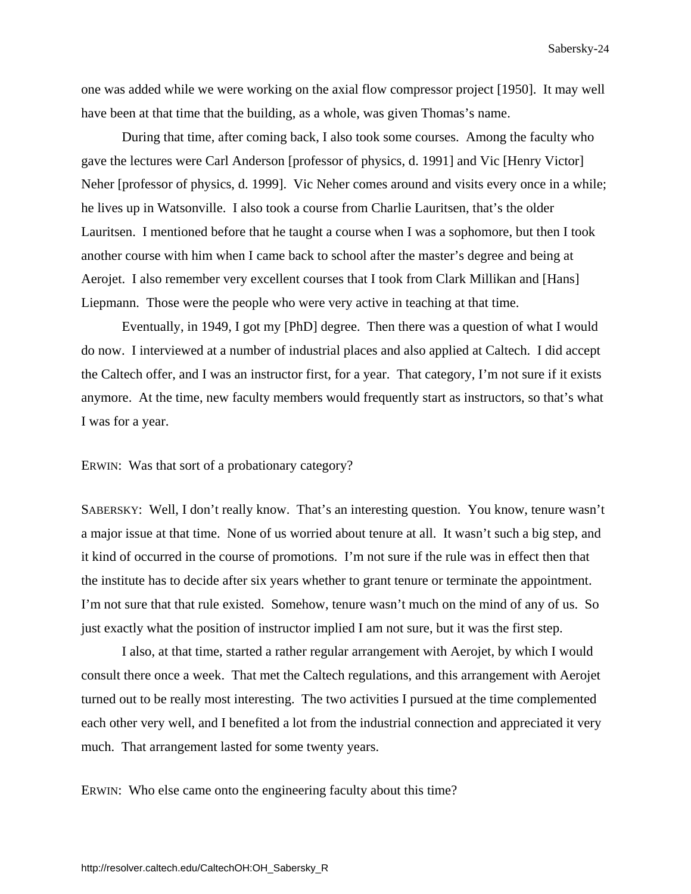one was added while we were working on the axial flow compressor project [1950]. It may well have been at that time that the building, as a whole, was given Thomas's name.

 During that time, after coming back, I also took some courses. Among the faculty who gave the lectures were Carl Anderson [professor of physics, d. 1991] and Vic [Henry Victor] Neher [professor of physics, d. 1999]. Vic Neher comes around and visits every once in a while; he lives up in Watsonville. I also took a course from Charlie Lauritsen, that's the older Lauritsen. I mentioned before that he taught a course when I was a sophomore, but then I took another course with him when I came back to school after the master's degree and being at Aerojet. I also remember very excellent courses that I took from Clark Millikan and [Hans] Liepmann. Those were the people who were very active in teaching at that time.

 Eventually, in 1949, I got my [PhD] degree. Then there was a question of what I would do now. I interviewed at a number of industrial places and also applied at Caltech. I did accept the Caltech offer, and I was an instructor first, for a year. That category, I'm not sure if it exists anymore. At the time, new faculty members would frequently start as instructors, so that's what I was for a year.

ERWIN: Was that sort of a probationary category?

SABERSKY: Well, I don't really know. That's an interesting question. You know, tenure wasn't a major issue at that time. None of us worried about tenure at all. It wasn't such a big step, and it kind of occurred in the course of promotions. I'm not sure if the rule was in effect then that the institute has to decide after six years whether to grant tenure or terminate the appointment. I'm not sure that that rule existed. Somehow, tenure wasn't much on the mind of any of us. So just exactly what the position of instructor implied I am not sure, but it was the first step.

 I also, at that time, started a rather regular arrangement with Aerojet, by which I would consult there once a week. That met the Caltech regulations, and this arrangement with Aerojet turned out to be really most interesting. The two activities I pursued at the time complemented each other very well, and I benefited a lot from the industrial connection and appreciated it very much. That arrangement lasted for some twenty years.

ERWIN: Who else came onto the engineering faculty about this time?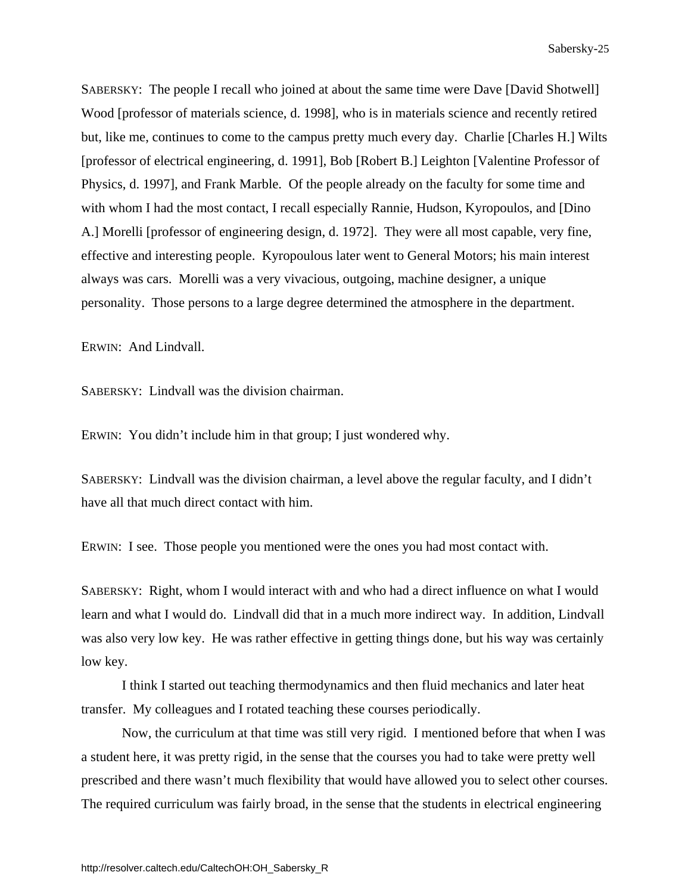SABERSKY: The people I recall who joined at about the same time were Dave [David Shotwell] Wood [professor of materials science, d. 1998], who is in materials science and recently retired but, like me, continues to come to the campus pretty much every day. Charlie [Charles H.] Wilts [professor of electrical engineering, d. 1991], Bob [Robert B.] Leighton [Valentine Professor of Physics, d. 1997], and Frank Marble. Of the people already on the faculty for some time and with whom I had the most contact, I recall especially Rannie, Hudson, Kyropoulos, and [Dino A.] Morelli [professor of engineering design, d. 1972]. They were all most capable, very fine, effective and interesting people. Kyropoulous later went to General Motors; his main interest always was cars. Morelli was a very vivacious, outgoing, machine designer, a unique personality. Those persons to a large degree determined the atmosphere in the department.

ERWIN: And Lindvall.

SABERSKY: Lindvall was the division chairman.

ERWIN: You didn't include him in that group; I just wondered why.

SABERSKY: Lindvall was the division chairman, a level above the regular faculty, and I didn't have all that much direct contact with him.

ERWIN: I see. Those people you mentioned were the ones you had most contact with.

SABERSKY: Right, whom I would interact with and who had a direct influence on what I would learn and what I would do. Lindvall did that in a much more indirect way. In addition, Lindvall was also very low key. He was rather effective in getting things done, but his way was certainly low key.

 I think I started out teaching thermodynamics and then fluid mechanics and later heat transfer. My colleagues and I rotated teaching these courses periodically.

 Now, the curriculum at that time was still very rigid. I mentioned before that when I was a student here, it was pretty rigid, in the sense that the courses you had to take were pretty well prescribed and there wasn't much flexibility that would have allowed you to select other courses. The required curriculum was fairly broad, in the sense that the students in electrical engineering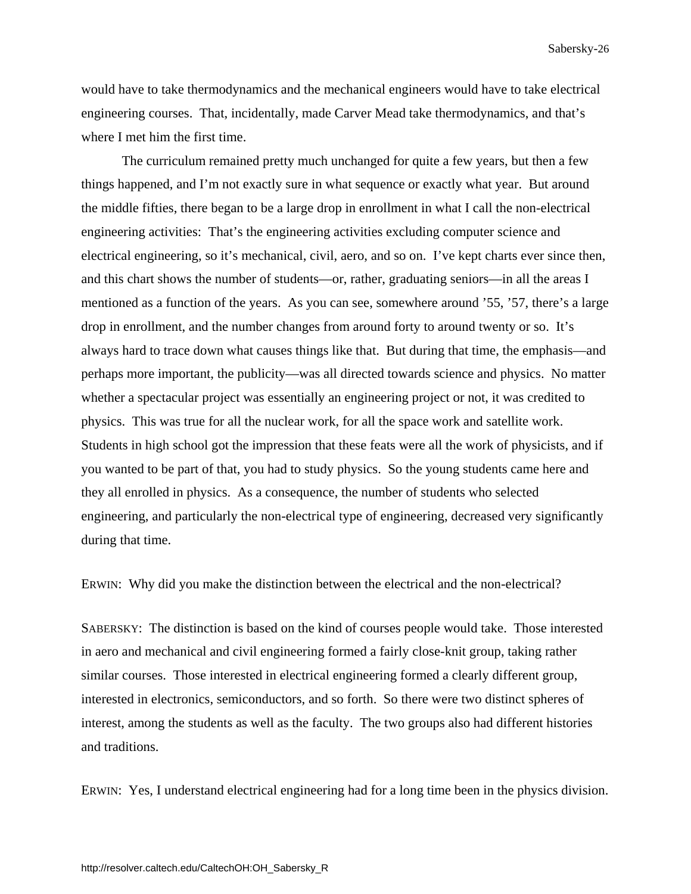would have to take thermodynamics and the mechanical engineers would have to take electrical engineering courses. That, incidentally, made Carver Mead take thermodynamics, and that's where I met him the first time.

 The curriculum remained pretty much unchanged for quite a few years, but then a few things happened, and I'm not exactly sure in what sequence or exactly what year. But around the middle fifties, there began to be a large drop in enrollment in what I call the non-electrical engineering activities: That's the engineering activities excluding computer science and electrical engineering, so it's mechanical, civil, aero, and so on. I've kept charts ever since then, and this chart shows the number of students—or, rather, graduating seniors—in all the areas I mentioned as a function of the years. As you can see, somewhere around '55, '57, there's a large drop in enrollment, and the number changes from around forty to around twenty or so. It's always hard to trace down what causes things like that. But during that time, the emphasis—and perhaps more important, the publicity—was all directed towards science and physics. No matter whether a spectacular project was essentially an engineering project or not, it was credited to physics. This was true for all the nuclear work, for all the space work and satellite work. Students in high school got the impression that these feats were all the work of physicists, and if you wanted to be part of that, you had to study physics. So the young students came here and they all enrolled in physics. As a consequence, the number of students who selected engineering, and particularly the non-electrical type of engineering, decreased very significantly during that time.

ERWIN: Why did you make the distinction between the electrical and the non-electrical?

SABERSKY: The distinction is based on the kind of courses people would take. Those interested in aero and mechanical and civil engineering formed a fairly close-knit group, taking rather similar courses. Those interested in electrical engineering formed a clearly different group, interested in electronics, semiconductors, and so forth. So there were two distinct spheres of interest, among the students as well as the faculty. The two groups also had different histories and traditions.

ERWIN: Yes, I understand electrical engineering had for a long time been in the physics division.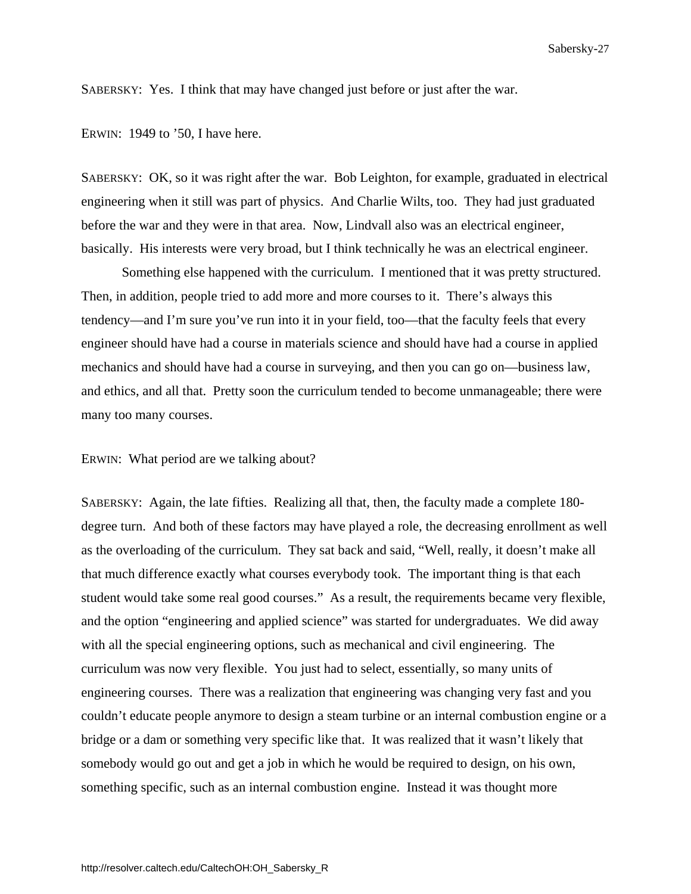SABERSKY: Yes. I think that may have changed just before or just after the war.

ERWIN: 1949 to '50, I have here.

SABERSKY: OK, so it was right after the war. Bob Leighton, for example, graduated in electrical engineering when it still was part of physics. And Charlie Wilts, too. They had just graduated before the war and they were in that area. Now, Lindvall also was an electrical engineer, basically. His interests were very broad, but I think technically he was an electrical engineer.

 Something else happened with the curriculum. I mentioned that it was pretty structured. Then, in addition, people tried to add more and more courses to it. There's always this tendency—and I'm sure you've run into it in your field, too—that the faculty feels that every engineer should have had a course in materials science and should have had a course in applied mechanics and should have had a course in surveying, and then you can go on—business law, and ethics, and all that. Pretty soon the curriculum tended to become unmanageable; there were many too many courses.

ERWIN: What period are we talking about?

SABERSKY: Again, the late fifties. Realizing all that, then, the faculty made a complete 180 degree turn. And both of these factors may have played a role, the decreasing enrollment as well as the overloading of the curriculum. They sat back and said, "Well, really, it doesn't make all that much difference exactly what courses everybody took. The important thing is that each student would take some real good courses." As a result, the requirements became very flexible, and the option "engineering and applied science" was started for undergraduates. We did away with all the special engineering options, such as mechanical and civil engineering. The curriculum was now very flexible. You just had to select, essentially, so many units of engineering courses. There was a realization that engineering was changing very fast and you couldn't educate people anymore to design a steam turbine or an internal combustion engine or a bridge or a dam or something very specific like that. It was realized that it wasn't likely that somebody would go out and get a job in which he would be required to design, on his own, something specific, such as an internal combustion engine. Instead it was thought more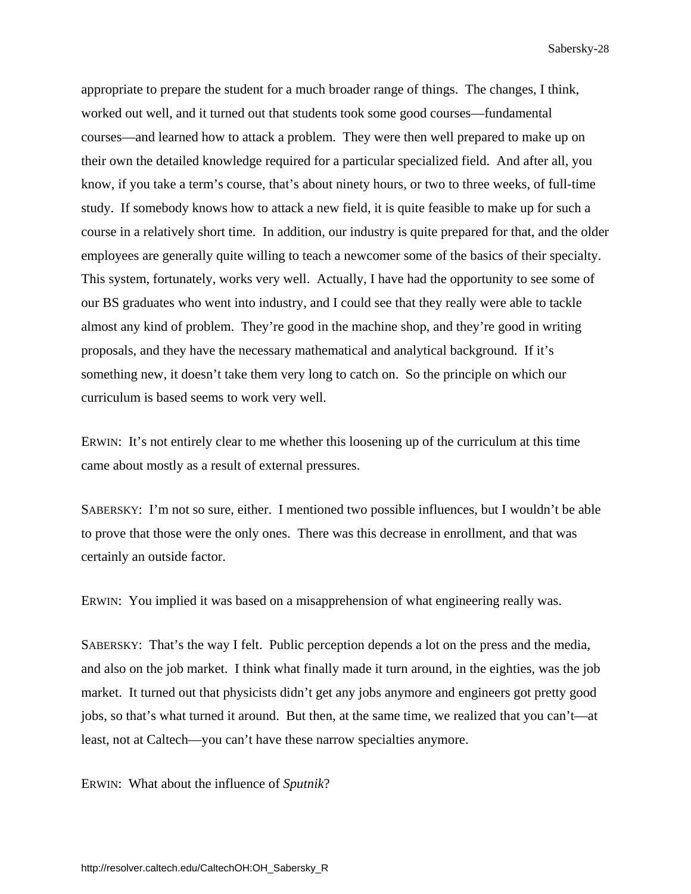appropriate to prepare the student for a much broader range of things. The changes, I think, worked out well, and it turned out that students took some good courses—fundamental courses—and learned how to attack a problem. They were then well prepared to make up on their own the detailed knowledge required for a particular specialized field. And after all, you know, if you take a term's course, that's about ninety hours, or two to three weeks, of full-time study. If somebody knows how to attack a new field, it is quite feasible to make up for such a course in a relatively short time. In addition, our industry is quite prepared for that, and the older employees are generally quite willing to teach a newcomer some of the basics of their specialty. This system, fortunately, works very well. Actually, I have had the opportunity to see some of our BS graduates who went into industry, and I could see that they really were able to tackle almost any kind of problem. They're good in the machine shop, and they're good in writing proposals, and they have the necessary mathematical and analytical background. If it's something new, it doesn't take them very long to catch on. So the principle on which our curriculum is based seems to work very well.

ERWIN: It's not entirely clear to me whether this loosening up of the curriculum at this time came about mostly as a result of external pressures.

SABERSKY: I'm not so sure, either. I mentioned two possible influences, but I wouldn't be able to prove that those were the only ones. There was this decrease in enrollment, and that was certainly an outside factor.

ERWIN: You implied it was based on a misapprehension of what engineering really was.

SABERSKY: That's the way I felt. Public perception depends a lot on the press and the media, and also on the job market. I think what finally made it turn around, in the eighties, was the job market. It turned out that physicists didn't get any jobs anymore and engineers got pretty good jobs, so that's what turned it around. But then, at the same time, we realized that you can't—at least, not at Caltech—you can't have these narrow specialties anymore.

ERWIN: What about the influence of *Sputnik*?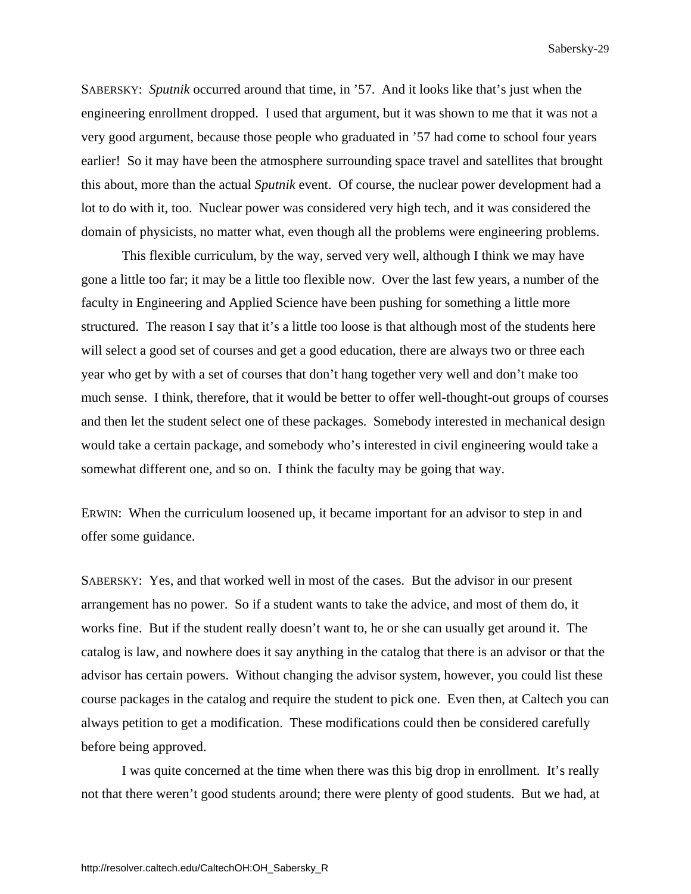SABERSKY: *Sputnik* occurred around that time, in '57. And it looks like that's just when the engineering enrollment dropped. I used that argument, but it was shown to me that it was not a very good argument, because those people who graduated in '57 had come to school four years earlier! So it may have been the atmosphere surrounding space travel and satellites that brought this about, more than the actual *Sputnik* event. Of course, the nuclear power development had a lot to do with it, too. Nuclear power was considered very high tech, and it was considered the domain of physicists, no matter what, even though all the problems were engineering problems.

 This flexible curriculum, by the way, served very well, although I think we may have gone a little too far; it may be a little too flexible now. Over the last few years, a number of the faculty in Engineering and Applied Science have been pushing for something a little more structured. The reason I say that it's a little too loose is that although most of the students here will select a good set of courses and get a good education, there are always two or three each year who get by with a set of courses that don't hang together very well and don't make too much sense. I think, therefore, that it would be better to offer well-thought-out groups of courses and then let the student select one of these packages. Somebody interested in mechanical design would take a certain package, and somebody who's interested in civil engineering would take a somewhat different one, and so on. I think the faculty may be going that way.

ERWIN: When the curriculum loosened up, it became important for an advisor to step in and offer some guidance.

SABERSKY: Yes, and that worked well in most of the cases. But the advisor in our present arrangement has no power. So if a student wants to take the advice, and most of them do, it works fine. But if the student really doesn't want to, he or she can usually get around it. The catalog is law, and nowhere does it say anything in the catalog that there is an advisor or that the advisor has certain powers. Without changing the advisor system, however, you could list these course packages in the catalog and require the student to pick one. Even then, at Caltech you can always petition to get a modification. These modifications could then be considered carefully before being approved.

 I was quite concerned at the time when there was this big drop in enrollment. It's really not that there weren't good students around; there were plenty of good students. But we had, at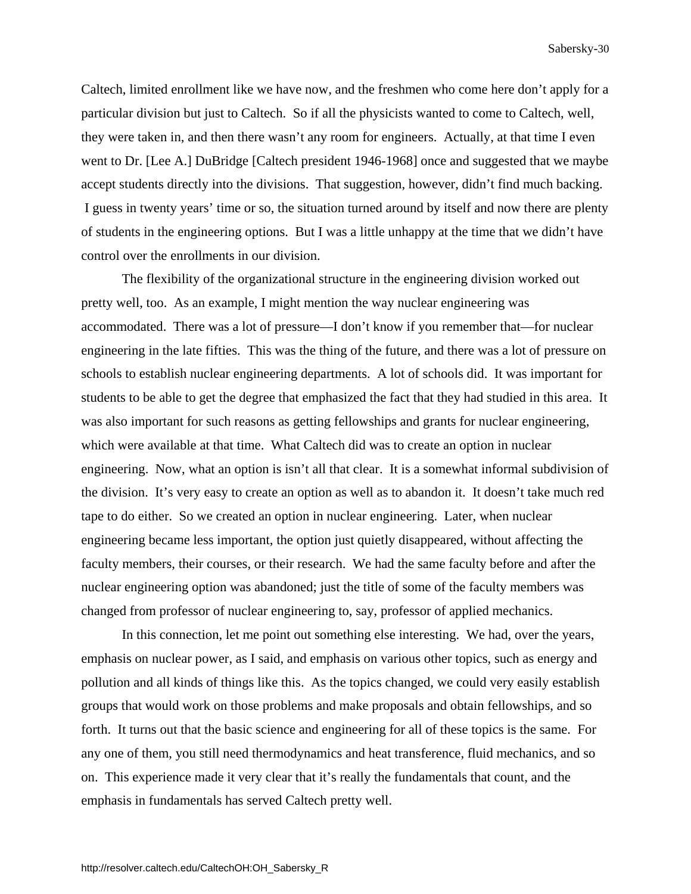Caltech, limited enrollment like we have now, and the freshmen who come here don't apply for a particular division but just to Caltech. So if all the physicists wanted to come to Caltech, well, they were taken in, and then there wasn't any room for engineers. Actually, at that time I even went to Dr. [Lee A.] DuBridge [Caltech president 1946-1968] once and suggested that we maybe accept students directly into the divisions. That suggestion, however, didn't find much backing. I guess in twenty years' time or so, the situation turned around by itself and now there are plenty of students in the engineering options. But I was a little unhappy at the time that we didn't have control over the enrollments in our division.

 The flexibility of the organizational structure in the engineering division worked out pretty well, too. As an example, I might mention the way nuclear engineering was accommodated. There was a lot of pressure—I don't know if you remember that—for nuclear engineering in the late fifties. This was the thing of the future, and there was a lot of pressure on schools to establish nuclear engineering departments. A lot of schools did. It was important for students to be able to get the degree that emphasized the fact that they had studied in this area. It was also important for such reasons as getting fellowships and grants for nuclear engineering, which were available at that time. What Caltech did was to create an option in nuclear engineering. Now, what an option is isn't all that clear. It is a somewhat informal subdivision of the division. It's very easy to create an option as well as to abandon it. It doesn't take much red tape to do either. So we created an option in nuclear engineering. Later, when nuclear engineering became less important, the option just quietly disappeared, without affecting the faculty members, their courses, or their research. We had the same faculty before and after the nuclear engineering option was abandoned; just the title of some of the faculty members was changed from professor of nuclear engineering to, say, professor of applied mechanics.

 In this connection, let me point out something else interesting. We had, over the years, emphasis on nuclear power, as I said, and emphasis on various other topics, such as energy and pollution and all kinds of things like this. As the topics changed, we could very easily establish groups that would work on those problems and make proposals and obtain fellowships, and so forth. It turns out that the basic science and engineering for all of these topics is the same. For any one of them, you still need thermodynamics and heat transference, fluid mechanics, and so on. This experience made it very clear that it's really the fundamentals that count, and the emphasis in fundamentals has served Caltech pretty well.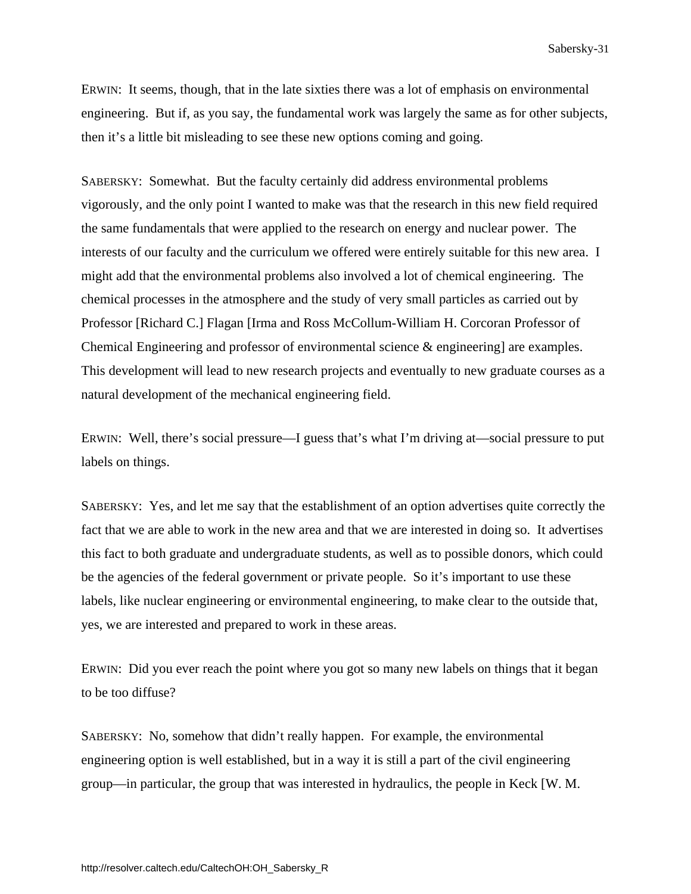ERWIN: It seems, though, that in the late sixties there was a lot of emphasis on environmental engineering. But if, as you say, the fundamental work was largely the same as for other subjects, then it's a little bit misleading to see these new options coming and going.

SABERSKY: Somewhat. But the faculty certainly did address environmental problems vigorously, and the only point I wanted to make was that the research in this new field required the same fundamentals that were applied to the research on energy and nuclear power. The interests of our faculty and the curriculum we offered were entirely suitable for this new area. I might add that the environmental problems also involved a lot of chemical engineering. The chemical processes in the atmosphere and the study of very small particles as carried out by Professor [Richard C.] Flagan [Irma and Ross McCollum-William H. Corcoran Professor of Chemical Engineering and professor of environmental science & engineering] are examples. This development will lead to new research projects and eventually to new graduate courses as a natural development of the mechanical engineering field.

ERWIN: Well, there's social pressure—I guess that's what I'm driving at—social pressure to put labels on things.

SABERSKY: Yes, and let me say that the establishment of an option advertises quite correctly the fact that we are able to work in the new area and that we are interested in doing so. It advertises this fact to both graduate and undergraduate students, as well as to possible donors, which could be the agencies of the federal government or private people. So it's important to use these labels, like nuclear engineering or environmental engineering, to make clear to the outside that, yes, we are interested and prepared to work in these areas.

ERWIN: Did you ever reach the point where you got so many new labels on things that it began to be too diffuse?

SABERSKY: No, somehow that didn't really happen. For example, the environmental engineering option is well established, but in a way it is still a part of the civil engineering group—in particular, the group that was interested in hydraulics, the people in Keck [W. M.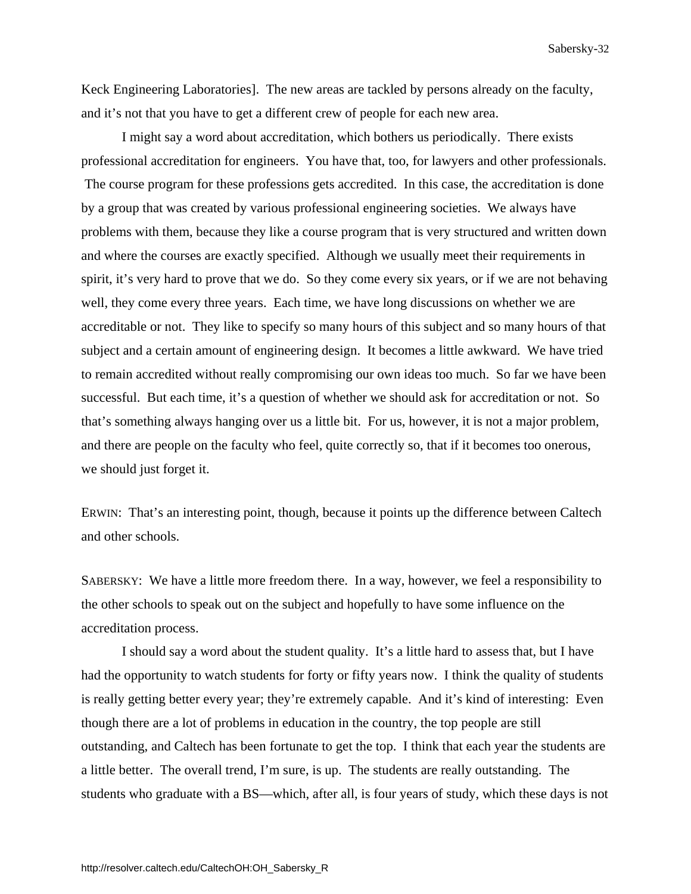Keck Engineering Laboratories]. The new areas are tackled by persons already on the faculty, and it's not that you have to get a different crew of people for each new area.

 I might say a word about accreditation, which bothers us periodically. There exists professional accreditation for engineers. You have that, too, for lawyers and other professionals. The course program for these professions gets accredited. In this case, the accreditation is done by a group that was created by various professional engineering societies. We always have problems with them, because they like a course program that is very structured and written down and where the courses are exactly specified. Although we usually meet their requirements in spirit, it's very hard to prove that we do. So they come every six years, or if we are not behaving well, they come every three years. Each time, we have long discussions on whether we are accreditable or not. They like to specify so many hours of this subject and so many hours of that subject and a certain amount of engineering design. It becomes a little awkward. We have tried to remain accredited without really compromising our own ideas too much. So far we have been successful. But each time, it's a question of whether we should ask for accreditation or not. So that's something always hanging over us a little bit. For us, however, it is not a major problem, and there are people on the faculty who feel, quite correctly so, that if it becomes too onerous, we should just forget it.

ERWIN: That's an interesting point, though, because it points up the difference between Caltech and other schools.

SABERSKY: We have a little more freedom there. In a way, however, we feel a responsibility to the other schools to speak out on the subject and hopefully to have some influence on the accreditation process.

 I should say a word about the student quality. It's a little hard to assess that, but I have had the opportunity to watch students for forty or fifty years now. I think the quality of students is really getting better every year; they're extremely capable. And it's kind of interesting: Even though there are a lot of problems in education in the country, the top people are still outstanding, and Caltech has been fortunate to get the top. I think that each year the students are a little better. The overall trend, I'm sure, is up. The students are really outstanding. The students who graduate with a BS—which, after all, is four years of study, which these days is not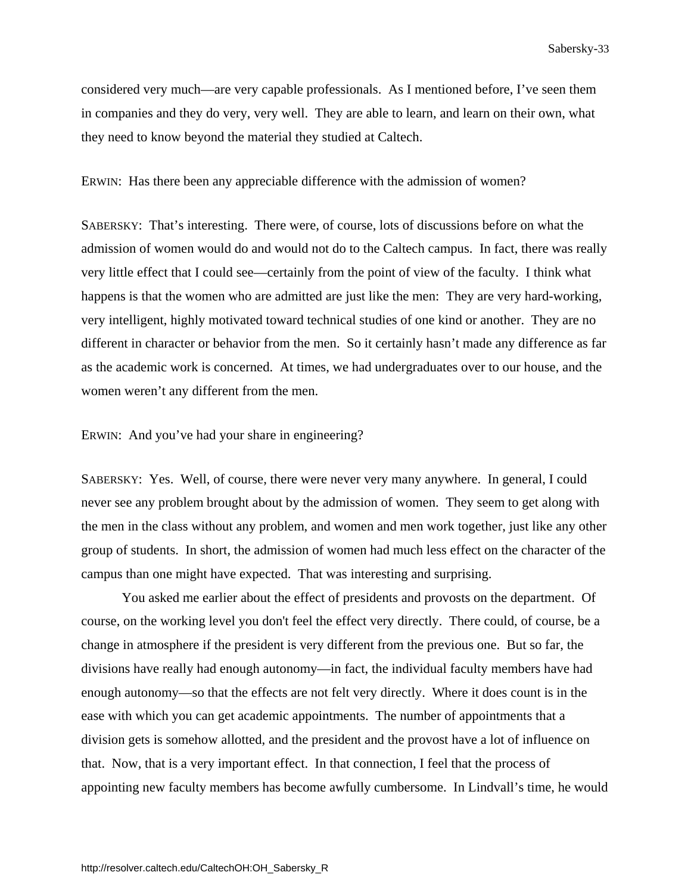considered very much—are very capable professionals. As I mentioned before, I've seen them in companies and they do very, very well. They are able to learn, and learn on their own, what they need to know beyond the material they studied at Caltech.

ERWIN: Has there been any appreciable difference with the admission of women?

SABERSKY: That's interesting. There were, of course, lots of discussions before on what the admission of women would do and would not do to the Caltech campus. In fact, there was really very little effect that I could see—certainly from the point of view of the faculty. I think what happens is that the women who are admitted are just like the men: They are very hard-working, very intelligent, highly motivated toward technical studies of one kind or another. They are no different in character or behavior from the men. So it certainly hasn't made any difference as far as the academic work is concerned. At times, we had undergraduates over to our house, and the women weren't any different from the men.

ERWIN: And you've had your share in engineering?

SABERSKY: Yes. Well, of course, there were never very many anywhere. In general, I could never see any problem brought about by the admission of women. They seem to get along with the men in the class without any problem, and women and men work together, just like any other group of students. In short, the admission of women had much less effect on the character of the campus than one might have expected. That was interesting and surprising.

 You asked me earlier about the effect of presidents and provosts on the department. Of course, on the working level you don't feel the effect very directly. There could, of course, be a change in atmosphere if the president is very different from the previous one. But so far, the divisions have really had enough autonomy—in fact, the individual faculty members have had enough autonomy—so that the effects are not felt very directly. Where it does count is in the ease with which you can get academic appointments. The number of appointments that a division gets is somehow allotted, and the president and the provost have a lot of influence on that. Now, that is a very important effect. In that connection, I feel that the process of appointing new faculty members has become awfully cumbersome. In Lindvall's time, he would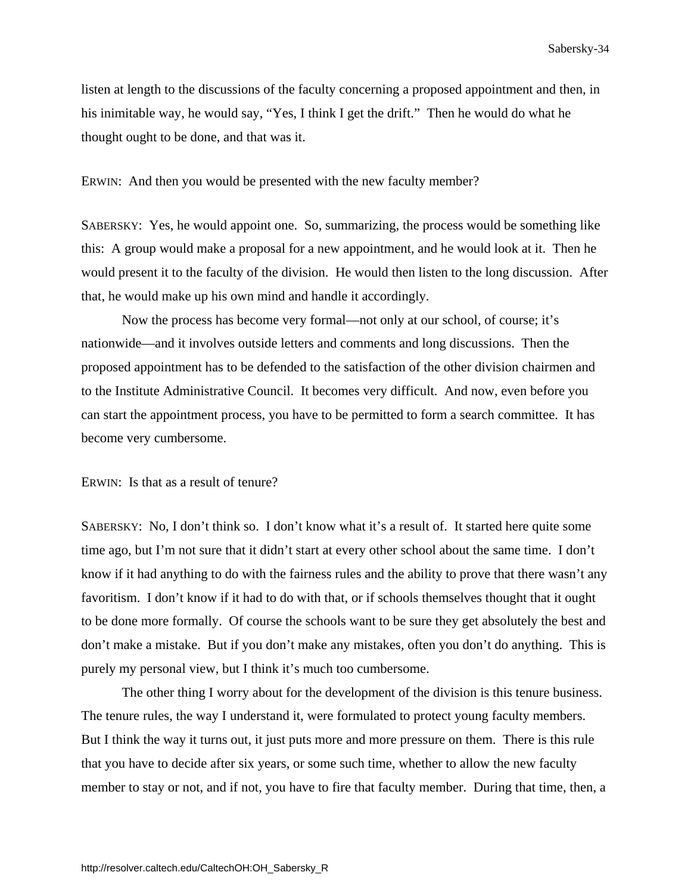listen at length to the discussions of the faculty concerning a proposed appointment and then, in his inimitable way, he would say, "Yes, I think I get the drift." Then he would do what he thought ought to be done, and that was it.

ERWIN: And then you would be presented with the new faculty member?

SABERSKY: Yes, he would appoint one. So, summarizing, the process would be something like this: A group would make a proposal for a new appointment, and he would look at it. Then he would present it to the faculty of the division. He would then listen to the long discussion. After that, he would make up his own mind and handle it accordingly.

 Now the process has become very formal—not only at our school, of course; it's nationwide—and it involves outside letters and comments and long discussions. Then the proposed appointment has to be defended to the satisfaction of the other division chairmen and to the Institute Administrative Council. It becomes very difficult. And now, even before you can start the appointment process, you have to be permitted to form a search committee. It has become very cumbersome.

ERWIN: Is that as a result of tenure?

SABERSKY: No, I don't think so. I don't know what it's a result of. It started here quite some time ago, but I'm not sure that it didn't start at every other school about the same time. I don't know if it had anything to do with the fairness rules and the ability to prove that there wasn't any favoritism. I don't know if it had to do with that, or if schools themselves thought that it ought to be done more formally. Of course the schools want to be sure they get absolutely the best and don't make a mistake. But if you don't make any mistakes, often you don't do anything. This is purely my personal view, but I think it's much too cumbersome.

 The other thing I worry about for the development of the division is this tenure business. The tenure rules, the way I understand it, were formulated to protect young faculty members. But I think the way it turns out, it just puts more and more pressure on them. There is this rule that you have to decide after six years, or some such time, whether to allow the new faculty member to stay or not, and if not, you have to fire that faculty member. During that time, then, a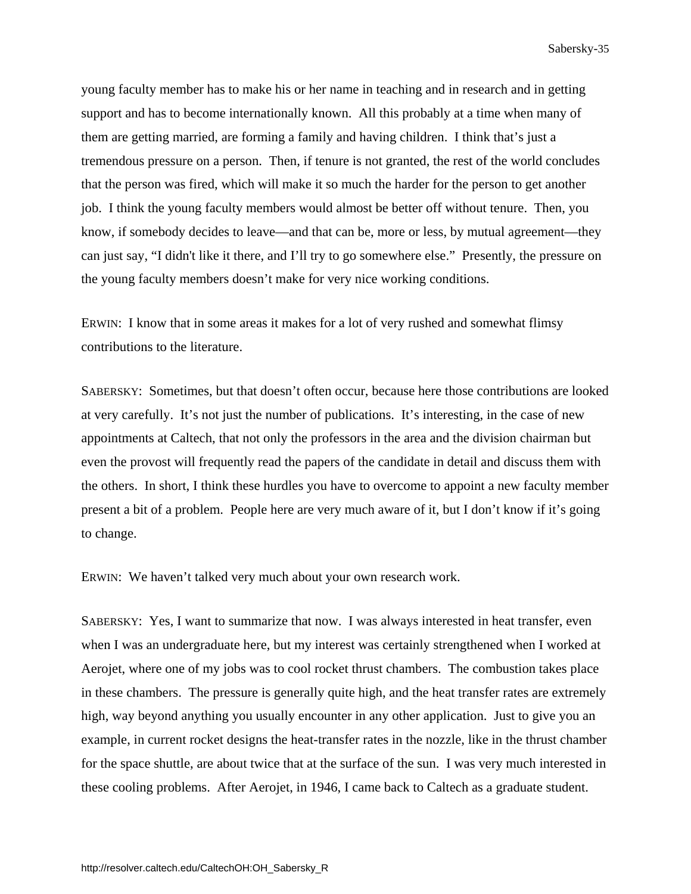<span id="page-39-0"></span>young faculty member has to make his or her name in teaching and in research and in getting support and has to become internationally known. All this probably at a time when many of them are getting married, are forming a family and having children. I think that's just a tremendous pressure on a person. Then, if tenure is not granted, the rest of the world concludes that the person was fired, which will make it so much the harder for the person to get another job. I think the young faculty members would almost be better off without tenure. Then, you know, if somebody decides to leave—and that can be, more or less, by mutual agreement—they can just say, "I didn't like it there, and I'll try to go somewhere else." Presently, the pressure on the young faculty members doesn't make for very nice working conditions.

ERWIN: I know that in some areas it makes for a lot of very rushed and somewhat flimsy contributions to the literature.

SABERSKY: Sometimes, but that doesn't often occur, because here those contributions are looked at very carefully. It's not just the number of publications. It's interesting, in the case of new appointments at Caltech, that not only the professors in the area and the division chairman but even the provost will frequently read the papers of the candidate in detail and discuss them with the others. In short, I think these hurdles you have to overcome to appoint a new faculty member present a bit of a problem. People here are very much aware of it, but I don't know if it's going to change.

ERWIN: We haven't talked very much about your own research work.

SABERSKY: Yes, I want to summarize that now. I was always interested in heat transfer, even when I was an undergraduate here, but my interest was certainly strengthened when I worked at Aerojet, where one of my jobs was to cool rocket thrust chambers. The combustion takes place in these chambers. The pressure is generally quite high, and the heat transfer rates are extremely high, way beyond anything you usually encounter in any other application. Just to give you an example, in current rocket designs the heat-transfer rates in the nozzle, like in the thrust chamber for the space shuttle, are about twice that at the surface of the sun. I was very much interested in these cooling problems. After Aerojet, in 1946, I came back to Caltech as a graduate student.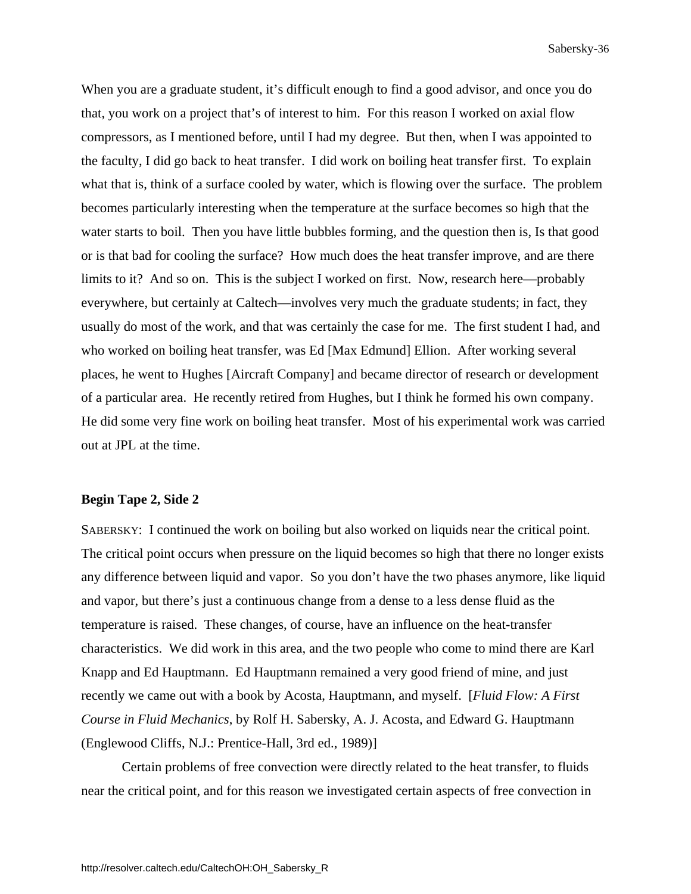When you are a graduate student, it's difficult enough to find a good advisor, and once you do that, you work on a project that's of interest to him. For this reason I worked on axial flow compressors, as I mentioned before, until I had my degree. But then, when I was appointed to the faculty, I did go back to heat transfer. I did work on boiling heat transfer first. To explain what that is, think of a surface cooled by water, which is flowing over the surface. The problem becomes particularly interesting when the temperature at the surface becomes so high that the water starts to boil. Then you have little bubbles forming, and the question then is, Is that good or is that bad for cooling the surface? How much does the heat transfer improve, and are there limits to it? And so on. This is the subject I worked on first. Now, research here—probably everywhere, but certainly at Caltech—involves very much the graduate students; in fact, they usually do most of the work, and that was certainly the case for me. The first student I had, and who worked on boiling heat transfer, was Ed [Max Edmund] Ellion. After working several places, he went to Hughes [Aircraft Company] and became director of research or development of a particular area. He recently retired from Hughes, but I think he formed his own company. He did some very fine work on boiling heat transfer. Most of his experimental work was carried out at JPL at the time.

### **Begin Tape 2, Side 2**

SABERSKY: I continued the work on boiling but also worked on liquids near the critical point. The critical point occurs when pressure on the liquid becomes so high that there no longer exists any difference between liquid and vapor. So you don't have the two phases anymore, like liquid and vapor, but there's just a continuous change from a dense to a less dense fluid as the temperature is raised. These changes, of course, have an influence on the heat-transfer characteristics. We did work in this area, and the two people who come to mind there are Karl Knapp and Ed Hauptmann. Ed Hauptmann remained a very good friend of mine, and just recently we came out with a book by Acosta, Hauptmann, and myself. [*Fluid Flow: A First Course in Fluid Mechanics*, by Rolf H. Sabersky, A. J. Acosta, and Edward G. Hauptmann (Englewood Cliffs, N.J.: Prentice-Hall, 3rd ed., 1989)]

 Certain problems of free convection were directly related to the heat transfer, to fluids near the critical point, and for this reason we investigated certain aspects of free convection in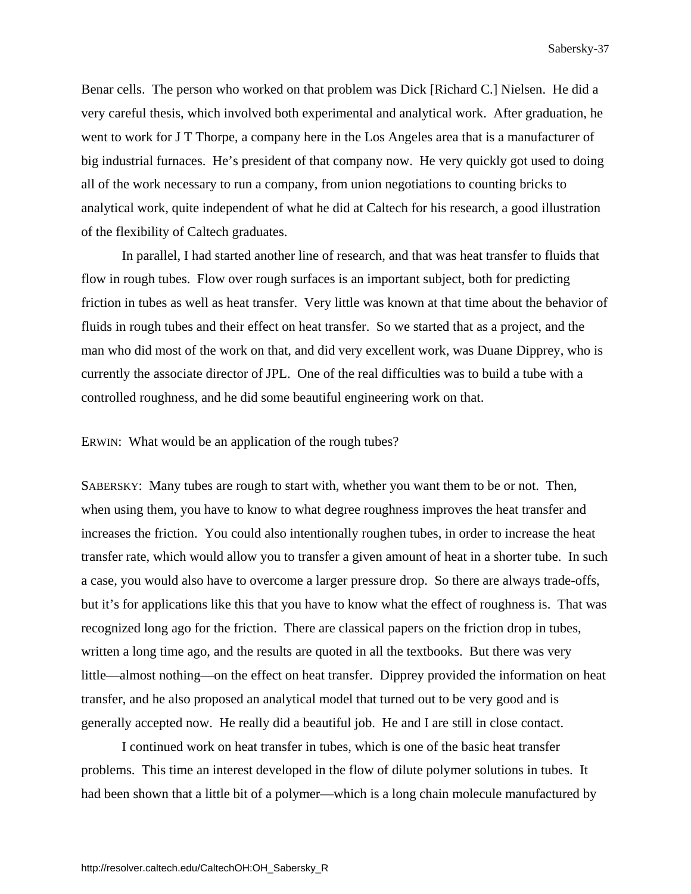Benar cells. The person who worked on that problem was Dick [Richard C.] Nielsen. He did a very careful thesis, which involved both experimental and analytical work. After graduation, he went to work for J T Thorpe, a company here in the Los Angeles area that is a manufacturer of big industrial furnaces. He's president of that company now. He very quickly got used to doing all of the work necessary to run a company, from union negotiations to counting bricks to analytical work, quite independent of what he did at Caltech for his research, a good illustration of the flexibility of Caltech graduates.

 In parallel, I had started another line of research, and that was heat transfer to fluids that flow in rough tubes. Flow over rough surfaces is an important subject, both for predicting friction in tubes as well as heat transfer. Very little was known at that time about the behavior of fluids in rough tubes and their effect on heat transfer. So we started that as a project, and the man who did most of the work on that, and did very excellent work, was Duane Dipprey, who is currently the associate director of JPL. One of the real difficulties was to build a tube with a controlled roughness, and he did some beautiful engineering work on that.

ERWIN: What would be an application of the rough tubes?

SABERSKY: Many tubes are rough to start with, whether you want them to be or not. Then, when using them, you have to know to what degree roughness improves the heat transfer and increases the friction. You could also intentionally roughen tubes, in order to increase the heat transfer rate, which would allow you to transfer a given amount of heat in a shorter tube. In such a case, you would also have to overcome a larger pressure drop. So there are always trade-offs, but it's for applications like this that you have to know what the effect of roughness is. That was recognized long ago for the friction. There are classical papers on the friction drop in tubes, written a long time ago, and the results are quoted in all the textbooks. But there was very little—almost nothing—on the effect on heat transfer. Dipprey provided the information on heat transfer, and he also proposed an analytical model that turned out to be very good and is generally accepted now. He really did a beautiful job. He and I are still in close contact.

 I continued work on heat transfer in tubes, which is one of the basic heat transfer problems. This time an interest developed in the flow of dilute polymer solutions in tubes. It had been shown that a little bit of a polymer—which is a long chain molecule manufactured by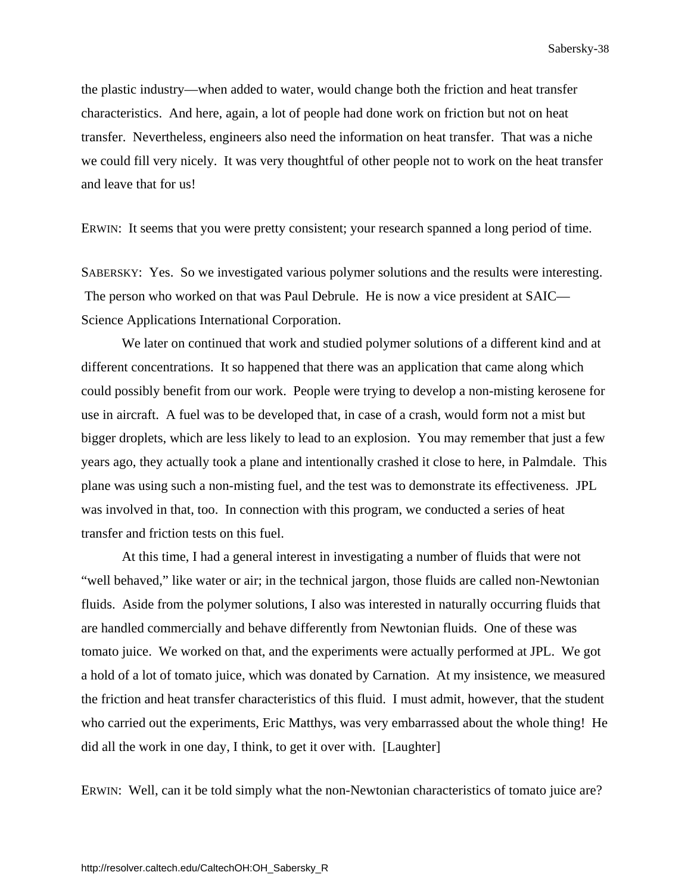the plastic industry—when added to water, would change both the friction and heat transfer characteristics. And here, again, a lot of people had done work on friction but not on heat transfer. Nevertheless, engineers also need the information on heat transfer. That was a niche we could fill very nicely. It was very thoughtful of other people not to work on the heat transfer and leave that for us!

ERWIN: It seems that you were pretty consistent; your research spanned a long period of time.

SABERSKY: Yes. So we investigated various polymer solutions and the results were interesting. The person who worked on that was Paul Debrule. He is now a vice president at SAIC— Science Applications International Corporation.

 We later on continued that work and studied polymer solutions of a different kind and at different concentrations. It so happened that there was an application that came along which could possibly benefit from our work. People were trying to develop a non-misting kerosene for use in aircraft. A fuel was to be developed that, in case of a crash, would form not a mist but bigger droplets, which are less likely to lead to an explosion. You may remember that just a few years ago, they actually took a plane and intentionally crashed it close to here, in Palmdale. This plane was using such a non-misting fuel, and the test was to demonstrate its effectiveness. JPL was involved in that, too. In connection with this program, we conducted a series of heat transfer and friction tests on this fuel.

 At this time, I had a general interest in investigating a number of fluids that were not "well behaved," like water or air; in the technical jargon, those fluids are called non-Newtonian fluids. Aside from the polymer solutions, I also was interested in naturally occurring fluids that are handled commercially and behave differently from Newtonian fluids. One of these was tomato juice. We worked on that, and the experiments were actually performed at JPL. We got a hold of a lot of tomato juice, which was donated by Carnation. At my insistence, we measured the friction and heat transfer characteristics of this fluid. I must admit, however, that the student who carried out the experiments, Eric Matthys, was very embarrassed about the whole thing! He did all the work in one day, I think, to get it over with. [Laughter]

ERWIN: Well, can it be told simply what the non-Newtonian characteristics of tomato juice are?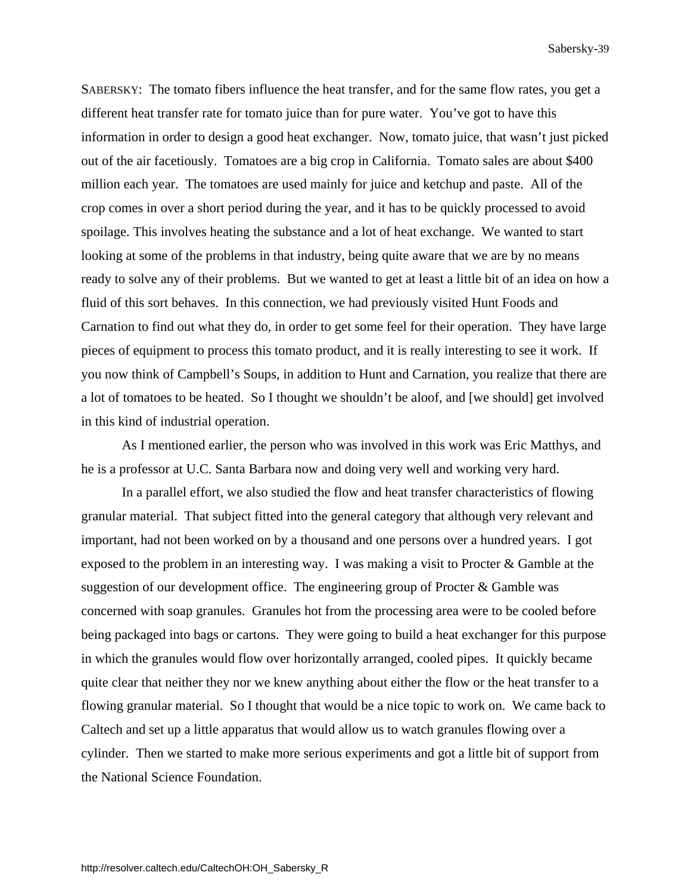SABERSKY: The tomato fibers influence the heat transfer, and for the same flow rates, you get a different heat transfer rate for tomato juice than for pure water. You've got to have this information in order to design a good heat exchanger. Now, tomato juice, that wasn't just picked out of the air facetiously. Tomatoes are a big crop in California. Tomato sales are about \$400 million each year. The tomatoes are used mainly for juice and ketchup and paste. All of the crop comes in over a short period during the year, and it has to be quickly processed to avoid spoilage. This involves heating the substance and a lot of heat exchange. We wanted to start looking at some of the problems in that industry, being quite aware that we are by no means ready to solve any of their problems. But we wanted to get at least a little bit of an idea on how a fluid of this sort behaves. In this connection, we had previously visited Hunt Foods and Carnation to find out what they do, in order to get some feel for their operation. They have large pieces of equipment to process this tomato product, and it is really interesting to see it work. If you now think of Campbell's Soups, in addition to Hunt and Carnation, you realize that there are a lot of tomatoes to be heated. So I thought we shouldn't be aloof, and [we should] get involved in this kind of industrial operation.

 As I mentioned earlier, the person who was involved in this work was Eric Matthys, and he is a professor at U.C. Santa Barbara now and doing very well and working very hard.

 In a parallel effort, we also studied the flow and heat transfer characteristics of flowing granular material. That subject fitted into the general category that although very relevant and important, had not been worked on by a thousand and one persons over a hundred years. I got exposed to the problem in an interesting way. I was making a visit to Procter & Gamble at the suggestion of our development office. The engineering group of Procter & Gamble was concerned with soap granules. Granules hot from the processing area were to be cooled before being packaged into bags or cartons. They were going to build a heat exchanger for this purpose in which the granules would flow over horizontally arranged, cooled pipes. It quickly became quite clear that neither they nor we knew anything about either the flow or the heat transfer to a flowing granular material. So I thought that would be a nice topic to work on. We came back to Caltech and set up a little apparatus that would allow us to watch granules flowing over a cylinder. Then we started to make more serious experiments and got a little bit of support from the National Science Foundation.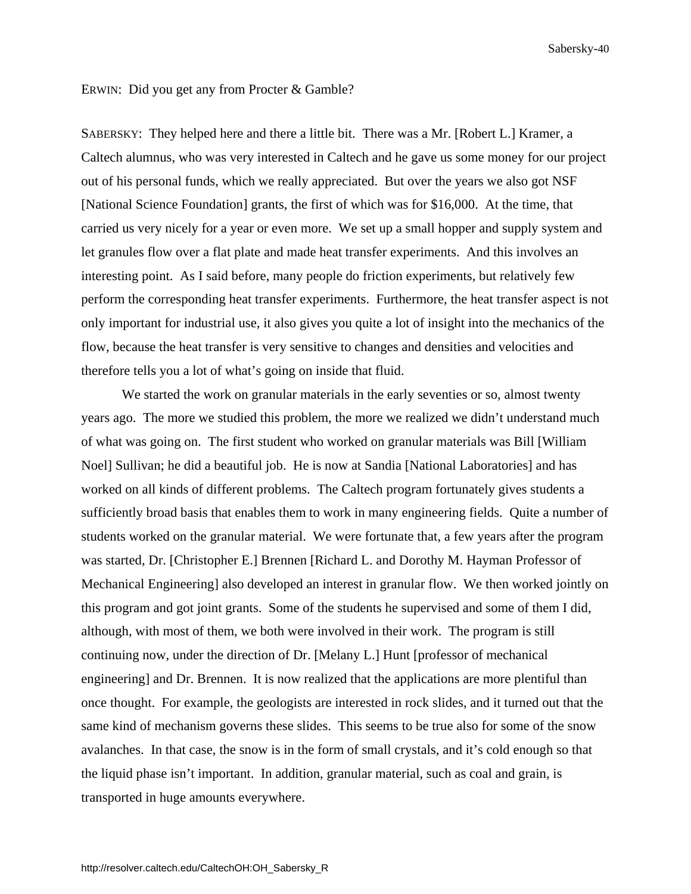### ERWIN: Did you get any from Procter & Gamble?

SABERSKY: They helped here and there a little bit. There was a Mr. [Robert L.] Kramer, a Caltech alumnus, who was very interested in Caltech and he gave us some money for our project out of his personal funds, which we really appreciated. But over the years we also got NSF [National Science Foundation] grants, the first of which was for \$16,000. At the time, that carried us very nicely for a year or even more. We set up a small hopper and supply system and let granules flow over a flat plate and made heat transfer experiments. And this involves an interesting point. As I said before, many people do friction experiments, but relatively few perform the corresponding heat transfer experiments. Furthermore, the heat transfer aspect is not only important for industrial use, it also gives you quite a lot of insight into the mechanics of the flow, because the heat transfer is very sensitive to changes and densities and velocities and therefore tells you a lot of what's going on inside that fluid.

 We started the work on granular materials in the early seventies or so, almost twenty years ago. The more we studied this problem, the more we realized we didn't understand much of what was going on. The first student who worked on granular materials was Bill [William Noel] Sullivan; he did a beautiful job. He is now at Sandia [National Laboratories] and has worked on all kinds of different problems. The Caltech program fortunately gives students a sufficiently broad basis that enables them to work in many engineering fields. Quite a number of students worked on the granular material. We were fortunate that, a few years after the program was started, Dr. [Christopher E.] Brennen [Richard L. and Dorothy M. Hayman Professor of Mechanical Engineering] also developed an interest in granular flow. We then worked jointly on this program and got joint grants. Some of the students he supervised and some of them I did, although, with most of them, we both were involved in their work. The program is still continuing now, under the direction of Dr. [Melany L.] Hunt [professor of mechanical engineering] and Dr. Brennen. It is now realized that the applications are more plentiful than once thought. For example, the geologists are interested in rock slides, and it turned out that the same kind of mechanism governs these slides. This seems to be true also for some of the snow avalanches. In that case, the snow is in the form of small crystals, and it's cold enough so that the liquid phase isn't important. In addition, granular material, such as coal and grain, is transported in huge amounts everywhere.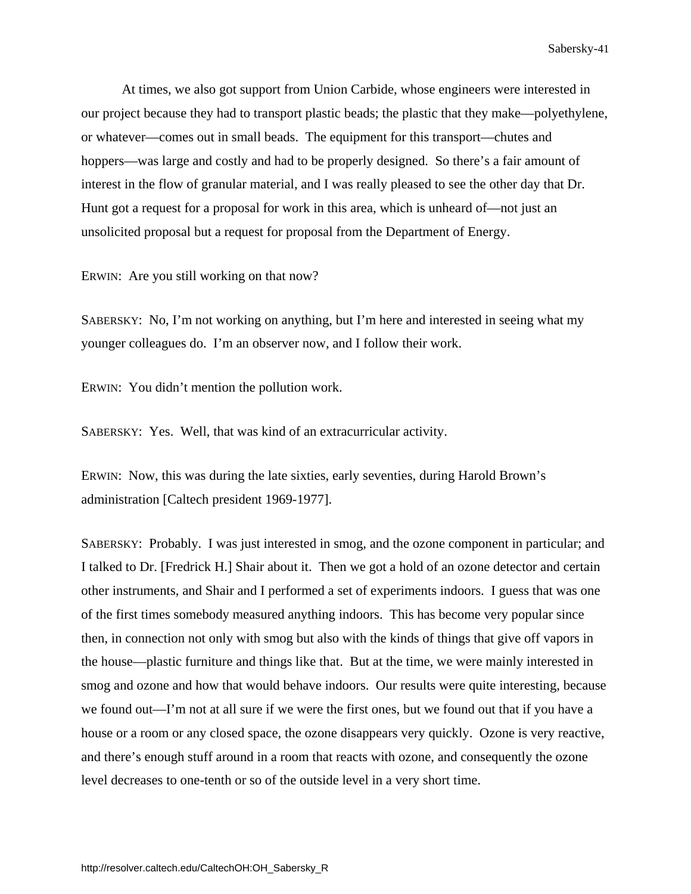At times, we also got support from Union Carbide, whose engineers were interested in our project because they had to transport plastic beads; the plastic that they make—polyethylene, or whatever—comes out in small beads. The equipment for this transport—chutes and hoppers—was large and costly and had to be properly designed. So there's a fair amount of interest in the flow of granular material, and I was really pleased to see the other day that Dr. Hunt got a request for a proposal for work in this area, which is unheard of—not just an unsolicited proposal but a request for proposal from the Department of Energy.

ERWIN: Are you still working on that now?

SABERSKY: No, I'm not working on anything, but I'm here and interested in seeing what my younger colleagues do. I'm an observer now, and I follow their work.

ERWIN: You didn't mention the pollution work.

SABERSKY: Yes. Well, that was kind of an extracurricular activity.

ERWIN: Now, this was during the late sixties, early seventies, during Harold Brown's administration [Caltech president 1969-1977].

SABERSKY: Probably. I was just interested in smog, and the ozone component in particular; and I talked to Dr. [Fredrick H.] Shair about it. Then we got a hold of an ozone detector and certain other instruments, and Shair and I performed a set of experiments indoors. I guess that was one of the first times somebody measured anything indoors. This has become very popular since then, in connection not only with smog but also with the kinds of things that give off vapors in the house—plastic furniture and things like that. But at the time, we were mainly interested in smog and ozone and how that would behave indoors. Our results were quite interesting, because we found out—I'm not at all sure if we were the first ones, but we found out that if you have a house or a room or any closed space, the ozone disappears very quickly. Ozone is very reactive, and there's enough stuff around in a room that reacts with ozone, and consequently the ozone level decreases to one-tenth or so of the outside level in a very short time.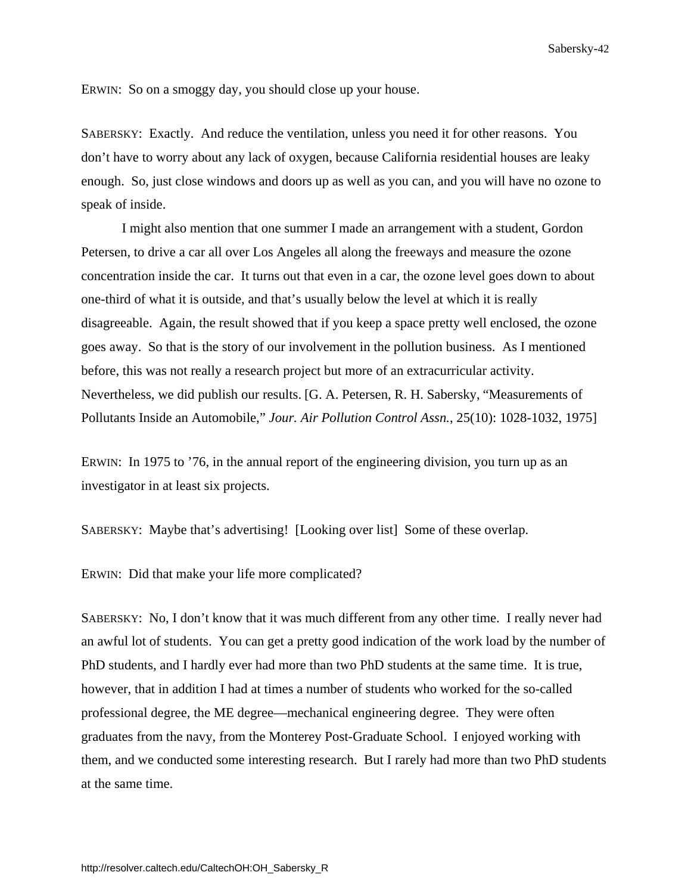ERWIN: So on a smoggy day, you should close up your house.

SABERSKY: Exactly. And reduce the ventilation, unless you need it for other reasons. You don't have to worry about any lack of oxygen, because California residential houses are leaky enough. So, just close windows and doors up as well as you can, and you will have no ozone to speak of inside.

 I might also mention that one summer I made an arrangement with a student, Gordon Petersen, to drive a car all over Los Angeles all along the freeways and measure the ozone concentration inside the car. It turns out that even in a car, the ozone level goes down to about one-third of what it is outside, and that's usually below the level at which it is really disagreeable. Again, the result showed that if you keep a space pretty well enclosed, the ozone goes away. So that is the story of our involvement in the pollution business. As I mentioned before, this was not really a research project but more of an extracurricular activity. Nevertheless, we did publish our results. [G. A. Petersen, R. H. Sabersky, "Measurements of Pollutants Inside an Automobile," *Jour. Air Pollution Control Assn.*, 25(10): 1028-1032, 1975]

ERWIN: In 1975 to '76, in the annual report of the engineering division, you turn up as an investigator in at least six projects.

SABERSKY: Maybe that's advertising! [Looking over list] Some of these overlap.

ERWIN: Did that make your life more complicated?

SABERSKY: No, I don't know that it was much different from any other time. I really never had an awful lot of students. You can get a pretty good indication of the work load by the number of PhD students, and I hardly ever had more than two PhD students at the same time. It is true, however, that in addition I had at times a number of students who worked for the so-called professional degree, the ME degree—mechanical engineering degree. They were often graduates from the navy, from the Monterey Post-Graduate School. I enjoyed working with them, and we conducted some interesting research. But I rarely had more than two PhD students at the same time.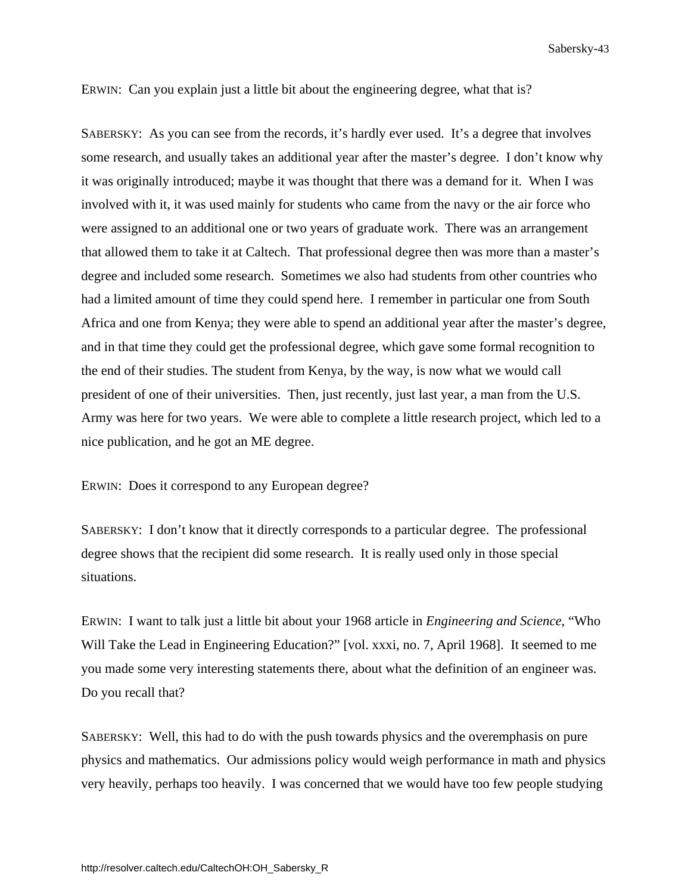ERWIN: Can you explain just a little bit about the engineering degree, what that is?

SABERSKY: As you can see from the records, it's hardly ever used. It's a degree that involves some research, and usually takes an additional year after the master's degree. I don't know why it was originally introduced; maybe it was thought that there was a demand for it. When I was involved with it, it was used mainly for students who came from the navy or the air force who were assigned to an additional one or two years of graduate work. There was an arrangement that allowed them to take it at Caltech. That professional degree then was more than a master's degree and included some research. Sometimes we also had students from other countries who had a limited amount of time they could spend here. I remember in particular one from South Africa and one from Kenya; they were able to spend an additional year after the master's degree, and in that time they could get the professional degree, which gave some formal recognition to the end of their studies. The student from Kenya, by the way, is now what we would call president of one of their universities. Then, just recently, just last year, a man from the U.S. Army was here for two years. We were able to complete a little research project, which led to a nice publication, and he got an ME degree.

ERWIN: Does it correspond to any European degree?

SABERSKY: I don't know that it directly corresponds to a particular degree. The professional degree shows that the recipient did some research. It is really used only in those special situations.

ERWIN: I want to talk just a little bit about your 1968 article in *Engineering and Science*, "Who Will Take the Lead in Engineering Education?" [vol. xxxi, no. 7, April 1968]. It seemed to me you made some very interesting statements there, about what the definition of an engineer was. Do you recall that?

SABERSKY: Well, this had to do with the push towards physics and the overemphasis on pure physics and mathematics. Our admissions policy would weigh performance in math and physics very heavily, perhaps too heavily. I was concerned that we would have too few people studying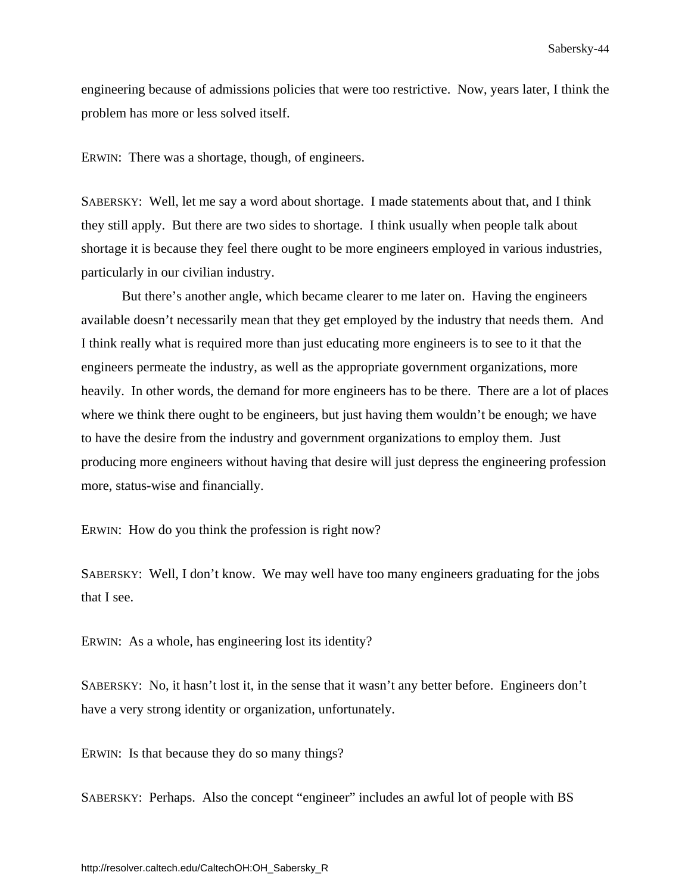engineering because of admissions policies that were too restrictive. Now, years later, I think the problem has more or less solved itself.

ERWIN: There was a shortage, though, of engineers.

SABERSKY: Well, let me say a word about shortage. I made statements about that, and I think they still apply. But there are two sides to shortage. I think usually when people talk about shortage it is because they feel there ought to be more engineers employed in various industries, particularly in our civilian industry.

 But there's another angle, which became clearer to me later on. Having the engineers available doesn't necessarily mean that they get employed by the industry that needs them. And I think really what is required more than just educating more engineers is to see to it that the engineers permeate the industry, as well as the appropriate government organizations, more heavily. In other words, the demand for more engineers has to be there. There are a lot of places where we think there ought to be engineers, but just having them wouldn't be enough; we have to have the desire from the industry and government organizations to employ them. Just producing more engineers without having that desire will just depress the engineering profession more, status-wise and financially.

ERWIN: How do you think the profession is right now?

SABERSKY: Well, I don't know. We may well have too many engineers graduating for the jobs that I see.

ERWIN: As a whole, has engineering lost its identity?

SABERSKY: No, it hasn't lost it, in the sense that it wasn't any better before. Engineers don't have a very strong identity or organization, unfortunately.

ERWIN: Is that because they do so many things?

SABERSKY: Perhaps. Also the concept "engineer" includes an awful lot of people with BS